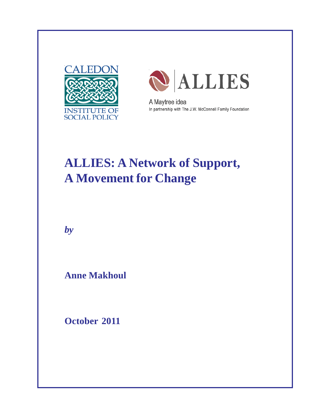



A Maytree idea In partnership with The J.W. McConnell Family Foundation

## **ALLIES: A Network of Support, A Movement for Change**

*by*

**Anne Makhoul**

**October 2011**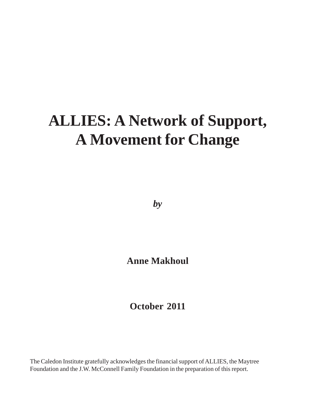# **ALLIES: A Network of Support, A Movement for Change**

*by*

**Anne Makhoul**

**October 2011**

The Caledon Institute gratefully acknowledges the financial support of ALLIES, the Maytree Foundation and the J.W. McConnell Family Foundation in the preparation of this report.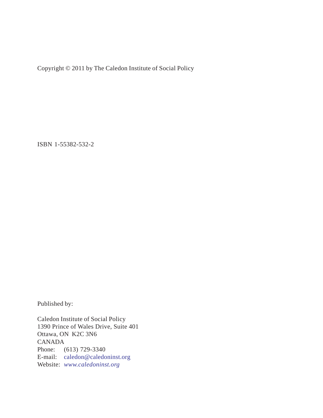Copyright © 2011 by The Caledon Institute of Social Policy

ISBN 1-55382-532-2

Published by:

Caledon Institute of Social Policy 1390 Prince of Wales Drive, Suite 401 Ottawa, ON K2C 3N6 CANADA Phone: (613) 729-3340 E-mail: caledon@caledoninst.org Website: *www.caledoninst.org*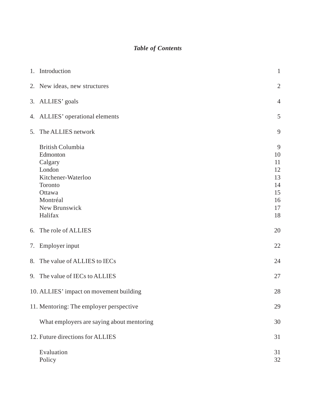## *Table of Contents*

|    | 1. Introduction                                                                                                                             | $\mathbf{1}$                                            |
|----|---------------------------------------------------------------------------------------------------------------------------------------------|---------------------------------------------------------|
|    | 2. New ideas, new structures                                                                                                                | $\mathbf{2}$                                            |
|    | 3. ALLIES' goals                                                                                                                            | $\overline{4}$                                          |
|    | 4. ALLIES' operational elements                                                                                                             | 5                                                       |
| 5. | The ALLIES network                                                                                                                          | 9                                                       |
|    | <b>British Columbia</b><br>Edmonton<br>Calgary<br>London<br>Kitchener-Waterloo<br>Toronto<br>Ottawa<br>Montréal<br>New Brunswick<br>Halifax | 9<br>10<br>11<br>12<br>13<br>14<br>15<br>16<br>17<br>18 |
|    | 6. The role of ALLIES                                                                                                                       | 20                                                      |
|    | 7. Employer input                                                                                                                           | 22                                                      |
|    | 8. The value of ALLIES to IECs                                                                                                              | 24                                                      |
|    | 9. The value of IECs to ALLIES                                                                                                              | 27                                                      |
|    | 10. ALLIES' impact on movement building                                                                                                     | 28                                                      |
|    | 11. Mentoring: The employer perspective                                                                                                     | 29                                                      |
|    | What employers are saying about mentoring                                                                                                   | 30                                                      |
|    | 12. Future directions for ALLIES                                                                                                            | 31                                                      |
|    | Evaluation<br>Policy                                                                                                                        | 31<br>32                                                |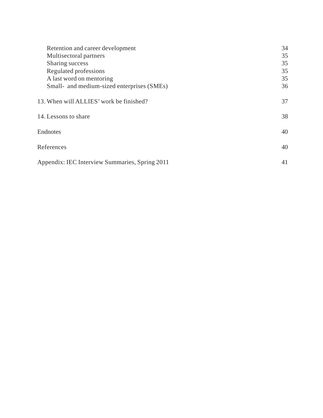| Retention and career development<br>Multisectoral partners<br>Sharing success<br>Regulated professions<br>A last word on mentoring<br>Small- and medium-sized enterprises (SMEs) | 34<br>35<br>35<br>35<br>35<br>36 |
|----------------------------------------------------------------------------------------------------------------------------------------------------------------------------------|----------------------------------|
| 13. When will ALLIES' work be finished?                                                                                                                                          | 37                               |
| 14. Lessons to share                                                                                                                                                             | 38                               |
| Endnotes                                                                                                                                                                         | 40                               |
| References                                                                                                                                                                       | 40                               |
| Appendix: IEC Interview Summaries, Spring 2011                                                                                                                                   | 41                               |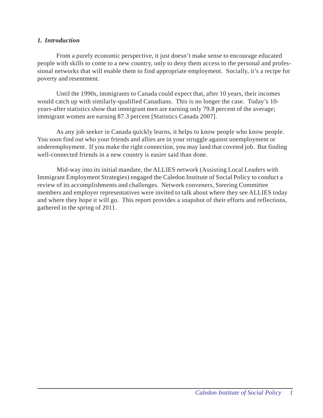### *1. Introduction*

From a purely economic perspective, it just doesn't make sense to encourage educated people with skills to come to a new country, only to deny them access to the personal and professional networks that will enable them to find appropriate employment. Socially, it's a recipe for poverty and resentment.

Until the 1990s, immigrants to Canada could expect that, after 10 years, their incomes would catch up with similarly-qualified Canadians. This is no longer the case. Today's 10 years-after statistics show that immigrant men are earning only 79.8 percent of the average; immigrant women are earning 87.3 percent [Statistics Canada 2007].

As any job seeker in Canada quickly learns, it helps to know people who know people. You soon find out who your friends and allies are in your struggle against unemployment or underemployment. If you make the right connection, you may land that coveted job. But finding well-connected friends in a new country is easier said than done.

Mid-way into its initial mandate, the ALLIES network (Assisting Local Leaders with Immigrant Employment Strategies) engaged the Caledon Institute of Social Policy to conduct a review of its accomplishments and challenges. Network conveners, Steering Committee members and employer representatives were invited to talk about where they see ALLIES today and where they hope it will go. This report provides a snapshot of their efforts and reflections, gathered in the spring of 2011.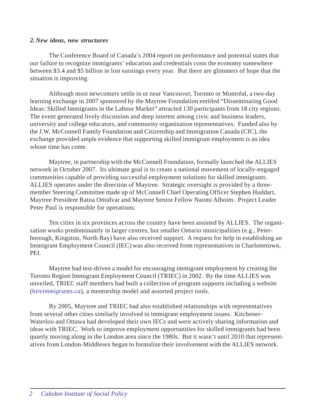#### *2. New ideas, new structures*

The Conference Board of Canada's 2004 report on performance and potential states that our failure to recognize immigrants' education and credentials costs the economy somewhere between \$3.4 and \$5 billion in lost earnings every year. But there are glimmers of hope that the situation is improving.

Although most newcomers settle in or near Vancouver, Toronto or Montréal, a two-day learning exchange in 2007 sponsored by the Maytree Foundation entitled "Disseminating Good Ideas: Skilled Immigrants in the Labour Market" attracted 130 participants from 18 city regions. The event generated lively discussion and deep interest among civic and business leaders, university and college educators, and community organization representatives. Funded also by the J.W. McConnell Family Foundation and Citizenship and Immigration Canada (CIC), the exchange provided ample evidence that supporting skilled immigrant employment is an idea whose time has come.

Maytree, in partnership with the McConnell Foundation, formally launched the ALLIES network in October 2007. Its ultimate goal is to create a national movement of locally-engaged communities capable of providing successful employment solutions for skilled immigrants. ALLIES operates under the direction of Maytree. Strategic oversight is provided by a threemember Steering Committee made up of McConnell Chief Operating Officer Stephen Huddart, Maytree President Ratna Omidvar and Maytree Senior Fellow Naomi Alboim. Project Leader Peter Paul is responsible for operations.

Ten cities in six provinces across the country have been assisted by ALLIES. The organization works predominantly in larger centres, but smaller Ontario municipalities (e.g., Peterborough, Kingston, North Bay) have also received support. A request for help in establishing an Immigrant Employment Council (IEC) was also received from representatives in Charlottetown, PEI.

Maytree had test-driven a model for encouraging immigrant employment by creating the Toronto Region Immigrant Employment Council (TRIEC) in 2002. By the time ALLIES was unveiled, TRIEC staff members had built a collection of program supports including a website (*hireimmigrants.ca*), a mentorship model and assorted project tools.

By 2005, Maytree and TRIEC had also established relationships with representatives from several other cities similarly involved in immigrant employment issues. Kitchener-Waterloo and Ottawa had developed their own IECs and were actively sharing information and ideas with TRIEC. Work to improve employment opportunities for skilled immigrants had been quietly moving along in the London area since the 1980s. But it wasn't until 2010 that representatives from London-Middlesex began to formalize their involvement with the ALLIES network.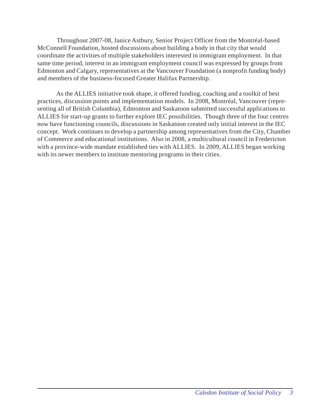Throughout 2007-08, Janice Astbury, Senior Project Officer from the Montréal-based McConnell Foundation, hosted discussions about building a body in that city that would coordinate the activities of multiple stakeholders interested in immigrant employment. In that same time period, interest in an immigrant employment council was expressed by groups from Edmonton and Calgary, representatives at the Vancouver Foundation (a nonprofit funding body) and members of the business-focused Greater Halifax Partnership.

As the ALLIES initiative took shape, it offered funding, coaching and a toolkit of best practices, discussion points and implementation models. In 2008, Montréal, Vancouver (representing all of British Columbia), Edmonton and Saskatoon submitted successful applications to ALLIES for start-up grants to further explore IEC possibilities. Though three of the four centres now have functioning councils, discussions in Saskatoon created only initial interest in the IEC concept. Work continues to develop a partnership among representatives from the City, Chamber of Commerce and educational institutions. Also in 2008, a multicultural council in Fredericton with a province-wide mandate established ties with ALLIES. In 2009, ALLIES began working with its newer members to institute mentoring programs in their cities.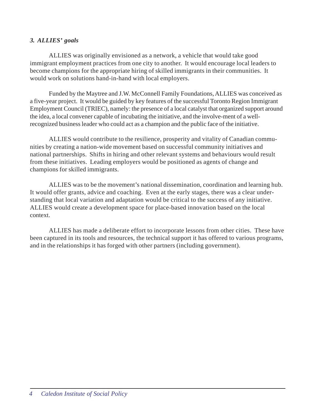## *3. ALLIES' goals*

ALLIES was originally envisioned as a network, a vehicle that would take good immigrant employment practices from one city to another. It would encourage local leaders to become champions for the appropriate hiring of skilled immigrants in their communities. It would work on solutions hand-in-hand with local employers.

Funded by the Maytree and J.W. McConnell Family Foundations, ALLIES was conceived as a five-year project. It would be guided by key features of the successful Toronto Region Immigrant Employment Council (TRIEC), namely: the presence of a local catalyst that organized support around the idea, a local convener capable of incubating the initiative, and the involve-ment of a wellrecognized business leader who could act as a champion and the public face of the initiative.

ALLIES would contribute to the resilience, prosperity and vitality of Canadian communities by creating a nation-wide movement based on successful community initiatives and national partnerships. Shifts in hiring and other relevant systems and behaviours would result from these initiatives. Leading employers would be positioned as agents of change and champions for skilled immigrants.

ALLIES was to be the movement's national dissemination, coordination and learning hub. It would offer grants, advice and coaching. Even at the early stages, there was a clear understanding that local variation and adaptation would be critical to the success of any initiative. ALLIES would create a development space for place-based innovation based on the local context.

ALLIES has made a deliberate effort to incorporate lessons from other cities. These have been captured in its tools and resources, the technical support it has offered to various programs, and in the relationships it has forged with other partners (including government).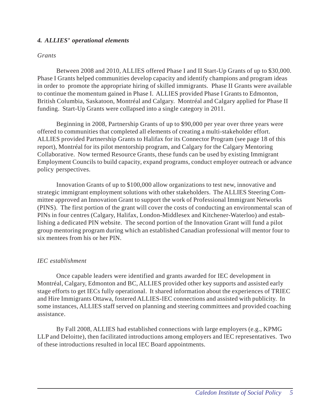## *4. ALLIES' operational elements*

#### *Grants*

Between 2008 and 2010, ALLIES offered Phase I and II Start-Up Grants of up to \$30,000. Phase I Grants helped communities develop capacity and identify champions and program ideas in order to promote the appropriate hiring of skilled immigrants. Phase II Grants were available to continue the momentum gained in Phase I. ALLIES provided Phase I Grants to Edmonton, British Columbia, Saskatoon, Montréal and Calgary. Montréal and Calgary applied for Phase II funding. Start-Up Grants were collapsed into a single category in 2011.

Beginning in 2008, Partnership Grants of up to \$90,000 per year over three years were offered to communities that completed all elements of creating a multi-stakeholder effort. ALLIES provided Partnership Grants to Halifax for its Connector Program (see page 18 of this report), Montréal for its pilot mentorship program, and Calgary for the Calgary Mentoring Collaborative. Now termed Resource Grants, these funds can be used by existing Immigrant Employment Councils to build capacity, expand programs, conduct employer outreach or advance policy perspectives.

Innovation Grants of up to \$100,000 allow organizations to test new, innovative and strategic immigrant employment solutions with other stakeholders. The ALLIES Steering Committee approved an Innovation Grant to support the work of Professional Immigrant Networks (PINS). The first portion of the grant will cover the costs of conducting an environmental scan of PINs in four centres (Calgary, Halifax, London-Middlesex and Kitchener-Waterloo) and establishing a dedicated PIN website. The second portion of the Innovation Grant will fund a pilot group mentoring program during which an established Canadian professional will mentor four to six mentees from his or her PIN.

#### *IEC establishment*

Once capable leaders were identified and grants awarded for IEC development in Montréal, Calgary, Edmonton and BC, ALLIES provided other key supports and assisted early stage efforts to get IECs fully operational. It shared information about the experiences of TRIEC and Hire Immigrants Ottawa, fostered ALLIES-IEC connections and assisted with publicity. In some instances, ALLIES staff served on planning and steering committees and provided coaching assistance.

By Fall 2008, ALLIES had established connections with large employers (e.g., KPMG LLP and Deloitte), then facilitated introductions among employers and IEC representatives. Two of these introductions resulted in local IEC Board appointments.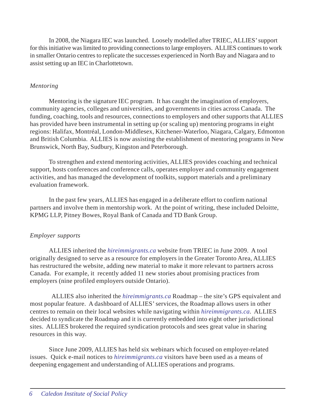In 2008, the Niagara IEC was launched. Loosely modelled after TRIEC, ALLIES' support for this initiative was limited to providing connections to large employers. ALLIES continues to work in smaller Ontario centres to replicate the successes experienced in North Bay and Niagara and to assist setting up an IEC in Charlottetown.

#### *Mentoring*

Mentoring is the signature IEC program. It has caught the imagination of employers, community agencies, colleges and universities, and governments in cities across Canada. The funding, coaching, tools and resources, connections to employers and other supports that ALLIES has provided have been instrumental in setting up (or scaling up) mentoring programs in eight regions: Halifax, Montréal, London-Middlesex, Kitchener-Waterloo, Niagara, Calgary, Edmonton and British Columbia. ALLIES is now assisting the establishment of mentoring programs in New Brunswick, North Bay, Sudbury, Kingston and Peterborough.

To strengthen and extend mentoring activities, ALLIES provides coaching and technical support, hosts conferences and conference calls, operates employer and community engagement activities, and has managed the development of toolkits, support materials and a preliminary evaluation framework.

In the past few years, ALLIES has engaged in a deliberate effort to confirm national partners and involve them in mentorship work. At the point of writing, these included Deloitte, KPMG LLP, Pitney Bowes, Royal Bank of Canada and TD Bank Group.

## *Employer supports*

ALLIES inherited the *hireimmigrants.ca* website from TRIEC in June 2009. A tool originally designed to serve as a resource for employers in the Greater Toronto Area, ALLIES has restructured the website, adding new material to make it more relevant to partners across Canada. For example, it recently added 11 new stories about promising practices from employers (nine profiled employers outside Ontario).

 ALLIES also inherited the *hireimmigrants.ca* Roadmap – the site's GPS equivalent and most popular feature. A dashboard of ALLIES' services, the Roadmap allows users in other centres to remain on their local websites while navigating within *hireimmigrants.ca*. ALLIES decided to syndicate the Roadmap and it is currently embedded into eight other jurisdictional sites. ALLIES brokered the required syndication protocols and sees great value in sharing resources in this way.

Since June 2009, ALLIES has held six webinars which focused on employer-related issues. Quick e-mail notices to *hireimmigrants.ca* visitors have been used as a means of deepening engagement and understanding of ALLIES operations and programs.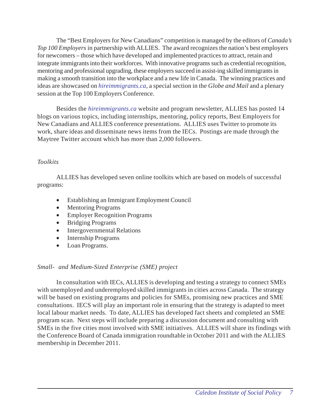The "Best Employers for New Canadians" competition is managed by the editors of *Canada's Top 100 Employers* in partnership with ALLIES. The award recognizes the nation's best employers for newcomers – those which have developed and implemented practices to attract, retain and integrate immigrants into their workforces. With innovative programs such as credential recognition, mentoring and professional upgrading, these employers succeed in assist-ing skilled immigrants in making a smooth transition into the workplace and a new life in Canada. The winning practices and ideas are showcased on *hireimmigrants.ca*, a special section in the *Globe and Mail* and a plenary session at the Top 100 Employers Conference.

Besides the *hireimmigrants.ca* website and program newsletter, ALLIES has posted 14 blogs on various topics, including internships, mentoring, policy reports, Best Employers for New Canadians and ALLIES conference presentations. ALLIES uses Twitter to promote its work, share ideas and disseminate news items from the IECs. Postings are made through the Maytree Twitter account which has more than 2,000 followers.

### *Toolkits*

ALLIES has developed seven online toolkits which are based on models of successful programs:

- Establishing an Immigrant Employment Council
- Mentoring Programs
- Employer Recognition Programs
- Bridging Programs
- Intergovernmental Relations
- Internship Programs
- Loan Programs.

## *Small- and Medium-Sized Enterprise (SME) project*

In consultation with IECs, ALLIES is developing and testing a strategy to connect SMEs with unemployed and underemployed skilled immigrants in cities across Canada. The strategy will be based on existing programs and policies for SMEs, promising new practices and SME consultations. IECS will play an important role in ensuring that the strategy is adapted to meet local labour market needs. To date, ALLIES has developed fact sheets and completed an SME program scan. Next steps will include preparing a discussion document and consulting with SMEs in the five cities most involved with SME initiatives. ALLIES will share its findings with the Conference Board of Canada immigration roundtable in October 2011 and with the ALLIES membership in December 2011.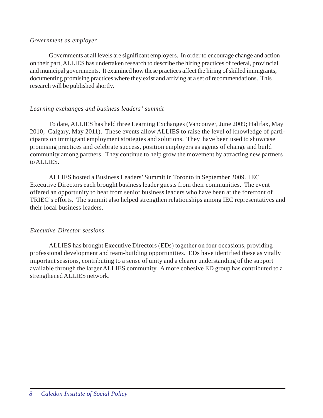#### *Government as employer*

Governments at all levels are significant employers. In order to encourage change and action on their part, ALLIES has undertaken research to describe the hiring practices of federal, provincial and municipal governments. It examined how these practices affect the hiring of skilled immigrants, documenting promising practices where they exist and arriving at a set of recommendations. This research will be published shortly.

### *Learning exchanges and business leaders' summit*

To date, ALLIES has held three Learning Exchanges (Vancouver, June 2009; Halifax, May 2010; Calgary, May 2011). These events allow ALLIES to raise the level of knowledge of participants on immigrant employment strategies and solutions. They have been used to showcase promising practices and celebrate success, position employers as agents of change and build community among partners. They continue to help grow the movement by attracting new partners to ALLIES.

ALLIES hosted a Business Leaders' Summit in Toronto in September 2009. IEC Executive Directors each brought business leader guests from their communities. The event offered an opportunity to hear from senior business leaders who have been at the forefront of TRIEC's efforts. The summit also helped strengthen relationships among IEC representatives and their local business leaders.

#### *Executive Director sessions*

ALLIES has brought Executive Directors (EDs) together on four occasions, providing professional development and team-building opportunities. EDs have identified these as vitally important sessions, contributing to a sense of unity and a clearer understanding of the support available through the larger ALLIES community. A more cohesive ED group has contributed to a strengthened ALLIES network.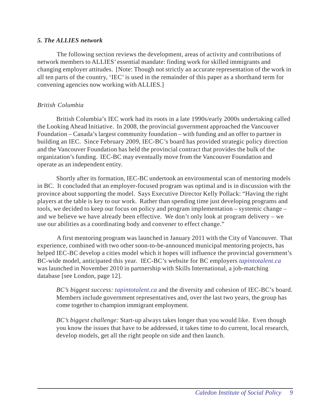#### *5. The ALLIES network*

The following section reviews the development, areas of activity and contributions of network members to ALLIES' essential mandate: finding work for skilled immigrants and changing employer attitudes. [Note: Though not strictly an accurate representation of the work in all ten parts of the country, 'IEC' is used in the remainder of this paper as a shorthand term for convening agencies now working with ALLIES.]

## *British Columbia*

British Columbia's IEC work had its roots in a late 1990s/early 2000s undertaking called the Looking Ahead Initiative. In 2008, the provincial government approached the Vancouver Foundation – Canada's largest community foundation – with funding and an offer to partner in building an IEC. Since February 2009, IEC-BC's board has provided strategic policy direction and the Vancouver Foundation has held the provincial contract that provides the bulk of the organization's funding. IEC-BC may eventually move from the Vancouver Foundation and operate as an independent entity.

Shortly after its formation, IEC-BC undertook an environmental scan of mentoring models in BC. It concluded that an employer-focused program was optimal and is in discussion with the province about supporting the model. Says Executive Director Kelly Pollack: "Having the right players at the table is key to our work. Rather than spending time just developing programs and tools, we decided to keep our focus on policy and program implementation – systemic change – and we believe we have already been effective. We don't only look at program delivery – we use our abilities as a coordinating body and convener to effect change."

A first mentoring program was launched in January 2011 with the City of Vancouver. That experience, combined with two other soon-to-be-announced municipal mentoring projects, has helped IEC-BC develop a cities model which it hopes will influence the provincial government's BC-wide model, anticipated this year. IEC-BC's website for BC employers *tapintotalent.ca* was launched in November 2010 in partnership with Skills International, a job-matching database [see London, page 12].

*BC's biggest success: tapintotalent.ca* and the diversity and cohesion of IEC-BC's board. Members include government representatives and, over the last two years, the group has come together to champion immigrant employment.

*BC's biggest challenge:* Start-up always takes longer than you would like. Even though you know the issues that have to be addressed, it takes time to do current, local research, develop models, get all the right people on side and then launch.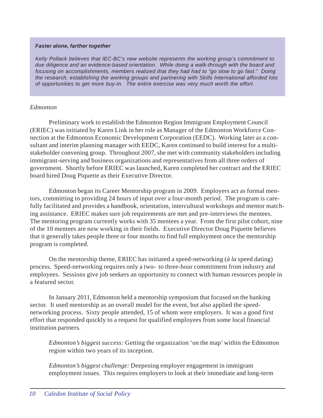#### *Faster alone, farther together*

*Kelly Pollack believes that IEC-BC's new website represents the working group's commitment to due diligence and an evidence-based orientation. While doing a walk-through with the board and focusing on accomplishments, members realized that they had had to "go slow to go fast." Doing the research, establishing the working groups and partnering with Skills International afforded lots of opportunities to get more buy-in. The entire exercise was very much worth the effort.*

#### *Edmonton*

Preliminary work to establish the Edmonton Region Immigrant Employment Council (ERIEC) was initiated by Karen Link in her role as Manager of the Edmonton Workforce Connection at the Edmonton Economic Development Corporation (EEDC). Working later as a consultant and interim planning manager with EEDC, Karen continued to build interest for a multistakeholder convening group. Throughout 2007, she met with community stakeholders including immigrant-serving and business organizations and representatives from all three orders of government. Shortly before ERIEC was launched, Karen completed her contract and the ERIEC board hired Doug Piquette as their Executive Director.

Edmonton began its Career Mentorship program in 2009. Employers act as formal mentors, committing to providing 24 hours of input over a four-month period. The program is carefully facilitated and provides a handbook, orientation, intercultural workshops and mentor matching assistance. ERIEC makes sure job requirements are met and pre-interviews the mentees. The mentoring program currently works with 35 mentees a year. From the first pilot cohort, nine of the 10 mentees are now working in their fields. Executive Director Doug Piquette believes that it generally takes people three or four months to find full employment once the mentorship program is completed.

On the mentorship theme, ERIEC has initiated a speed-networking (*à la* speed dating) process. Speed-networking requires only a two- to three-hour commitment from industry and employees. Sessions give job seekers an opportunity to connect with human resources people in a featured sector.

In January 2011, Edmonton held a mentorship symposium that focused on the banking sector. It used mentorship as an overall model for the event, but also applied the speednetworking process. Sixty people attended, 15 of whom were employers. It was a good first effort that responded quickly to a request for qualified employees from some local financial institution partners.

*Edmonton's biggest success:* Getting the organization 'on the map' within the Edmonton region within two years of its inception.

*Edmonton's biggest challenge:* Deepening employer engagement in immigrant employment issues. This requires employers to look at their immediate and long-term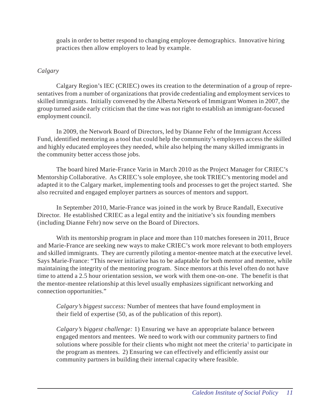goals in order to better respond to changing employee demographics. Innovative hiring practices then allow employers to lead by example.

### *Calgary*

Calgary Region's IEC (CRIEC) owes its creation to the determination of a group of representatives from a number of organizations that provide credentialing and employment services to skilled immigrants. Initially convened by the Alberta Network of Immigrant Women in 2007, the group turned aside early criticism that the time was not right to establish an immigrant-focused employment council.

In 2009, the Network Board of Directors, led by Dianne Fehr of the Immigrant Access Fund, identified mentoring as a tool that could help the community's employers access the skilled and highly educated employees they needed, while also helping the many skilled immigrants in the community better access those jobs.

The board hired Marie-France Varin in March 2010 as the Project Manager for CRIEC's Mentorship Collaborative. As CRIEC's sole employee, she took TRIEC's mentoring model and adapted it to the Calgary market, implementing tools and processes to get the project started. She also recruited and engaged employer partners as sources of mentors and support.

In September 2010, Marie-France was joined in the work by Bruce Randall, Executive Director. He established CRIEC as a legal entity and the initiative's six founding members (including Dianne Fehr) now serve on the Board of Directors.

With its mentorship program in place and more than 110 matches foreseen in 2011, Bruce and Marie-France are seeking new ways to make CRIEC's work more relevant to both employers and skilled immigrants. They are currently piloting a mentor-mentee match at the executive level. Says Marie-France: "This newer initiative has to be adaptable for both mentor and mentee, while maintaining the integrity of the mentoring program. Since mentors at this level often do not have time to attend a 2.5 hour orientation session, we work with them one-on-one. The benefit is that the mentor-mentee relationship at this level usually emphasizes significant networking and connection opportunities."

*Calgary's biggest success:* Number of mentees that have found employment in their field of expertise (50, as of the publication of this report).

*Calgary's biggest challenge:* 1) Ensuring we have an appropriate balance between engaged mentors and mentees. We need to work with our community partners to find solutions where possible for their clients who might not meet the criteria<sup>1</sup> to participate in the program as mentees. 2) Ensuring we can effectively and efficiently assist our community partners in building their internal capacity where feasible.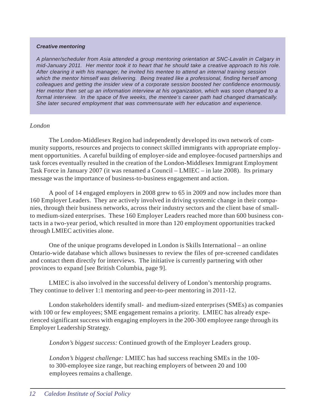#### *Creative mentoring*

*A planner/scheduler from Asia attended a group mentoring orientation at SNC-Lavalin in Calgary in mid-January 2011. Her mentor took it to heart that he should take a creative approach to his role. After clearing it with his manager, he invited his mentee to attend an internal training session which the mentor himself was delivering. Being treated like a professional, finding herself among colleagues and getting the insider view of a corporate session boosted her confidence enormously. Her mentor then set up an information interview at his organization, which was soon changed to a formal interview. In the space of five weeks, the mentee's career path had changed dramatically. She later secured employment that was commensurate with her education and experience.*

#### *London*

The London-Middlesex Region had independently developed its own network of community supports, resources and projects to connect skilled immigrants with appropriate employment opportunities. A careful building of employer-side and employee-focused partnerships and task forces eventually resulted in the creation of the London-Middlesex Immigrant Employment Task Force in January 2007 (it was renamed a Council – LMIEC – in late 2008). Its primary message was the importance of business-to-business engagement and action.

A pool of 14 engaged employers in 2008 grew to 65 in 2009 and now includes more than 160 Employer Leaders. They are actively involved in driving systemic change in their companies, through their business networks, across their industry sectors and the client base of smallto medium-sized enterprises. These 160 Employer Leaders reached more than 600 business contacts in a two-year period, which resulted in more than 120 employment opportunities tracked through LMIEC activities alone.

One of the unique programs developed in London is Skills International – an online Ontario-wide database which allows businesses to review the files of pre-screened candidates and contact them directly for interviews. The initiative is currently partnering with other provinces to expand [see British Columbia, page 9].

LMIEC is also involved in the successful delivery of London's mentorship programs. They continue to deliver 1:1 mentoring and peer-to-peer mentoring in 2011-12.

London stakeholders identify small- and medium-sized enterprises (SMEs) as companies with 100 or few employees; SME engagement remains a priority. LMIEC has already experienced significant success with engaging employers in the 200-300 employee range through its Employer Leadership Strategy.

*London's biggest success:* Continued growth of the Employer Leaders group.

*London's biggest challenge:* LMIEC has had success reaching SMEs in the 100 to 300-employee size range, but reaching employers of between 20 and 100 employees remains a challenge.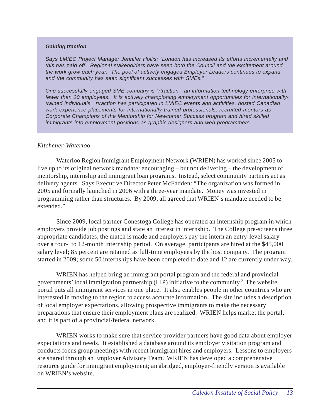#### *Gaining traction*

*Says LMIEC Project Manager Jennifer Hollis: "London has increased its efforts incrementally and this has paid off. Regional stakeholders have seen both the Council and the excitement around the work grow each year. The pool of actively engaged Employer Leaders continues to expand and the community has seen significant successes with SMEs."*

*One successfully engaged SME company is "rtraction," an information technology enterprise with fewer than 20 employees. It is actively championing employment opportunities for internationallytrained individuals. rtraction has participated in LMIEC events and activities, hosted Canadian work experience placements for internationally trained professionals, recruited mentors as Corporate Champions of the Mentorship for Newcomer Success program and hired skilled immigrants into employment positions as graphic designers and web programmers.*

#### *Kitchener-Waterloo*

Waterloo Region Immigrant Employment Network (WRIEN) has worked since 2005 to live up to its original network mandate: encouraging – but not delivering – the development of mentorship, internship and immigrant loan programs. Instead, select community partners act as delivery agents. Says Executive Director Peter McFadden: "The organization was formed in 2005 and formally launched in 2006 with a three-year mandate. Money was invested in programming rather than structures. By 2009, all agreed that WRIEN's mandate needed to be extended."

Since 2009, local partner Conestoga College has operated an internship program in which employers provide job postings and state an interest in internship. The College pre-screens three appropriate candidates, the match is made and employers pay the intern an entry-level salary over a four- to 12-month internship period. On average, participants are hired at the \$45,000 salary level; 85 percent are retained as full-time employees by the host company. The program started in 2009; some 50 internships have been completed to date and 12 are currently under way.

WRIEN has helped bring an immigrant portal program and the federal and provincial governments' local immigration partnership (LIP) initiative to the community.<sup>2</sup> The website portal puts all immigrant services in one place. It also enables people in other countries who are interested in moving to the region to access accurate information. The site includes a description of local employer expectations, allowing prospective immigrants to make the necessary preparations that ensure their employment plans are realized. WRIEN helps market the portal, and it is part of a provincial/federal network.

WRIEN works to make sure that service provider partners have good data about employer expectations and needs. It established a database around its employer visitation program and conducts focus group meetings with recent immigrant hires and employers. Lessons to employers are shared through an Employer Advisory Team. WRIEN has developed a comprehensive resource guide for immigrant employment; an abridged, employer-friendly version is available on WRIEN's website.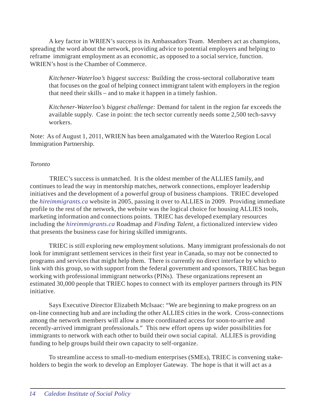A key factor in WRIEN's success is its Ambassadors Team. Members act as champions, spreading the word about the network, providing advice to potential employers and helping to reframe immigrant employment as an economic, as opposed to a social service, function. WRIEN's host is the Chamber of Commerce.

*Kitchener-Waterloo's biggest success:* Building the cross-sectoral collaborative team that focuses on the goal of helping connect immigrant talent with employers in the region that need their skills – and to make it happen in a timely fashion.

*Kitchener-Waterloo's biggest challenge:* Demand for talent in the region far exceeds the available supply. Case in point: the tech sector currently needs some 2,500 tech-savvy workers.

Note: As of August 1, 2011, WRIEN has been amalgamated with the Waterloo Region Local Immigration Partnership.

### *Toronto*

TRIEC's success is unmatched. It is the oldest member of the ALLIES family, and continues to lead the way in mentorship matches, network connections, employer leadership initiatives and the development of a powerful group of business champions. TRIEC developed the *hireimmigrants.ca* website in 2005, passing it over to ALLIES in 2009. Providing immediate profile to the rest of the network, the website was the logical choice for housing ALLIES tools, marketing information and connections points. TRIEC has developed exemplary resources including the *hireimmigrants.ca* Roadmap and *Finding Talent*, a fictionalized interview video that presents the business case for hiring skilled immigrants.

TRIEC is still exploring new employment solutions. Many immigrant professionals do not look for immigrant settlement services in their first year in Canada, so may not be connected to programs and services that might help them. There is currently no direct interface by which to link with this group, so with support from the federal government and sponsors, TRIEC has begun working with professional immigrant networks (PINs). These organizations represent an estimated 30,000 people that TRIEC hopes to connect with its employer partners through its PIN initiative.

Says Executive Director Elizabeth McIsaac: "We are beginning to make progress on an on-line connecting hub and are including the other ALLIES cities in the work. Cross-connections among the network members will allow a more coordinated access for soon-to-arrive and recently-arrived immigrant professionals." This new effort opens up wider possibilities for immigrants to network with each other to build their own social capital. ALLIES is providing funding to help groups build their own capacity to self-organize.

To streamline access to small-to-medium enterprises (SMEs), TRIEC is convening stakeholders to begin the work to develop an Employer Gateway. The hope is that it will act as a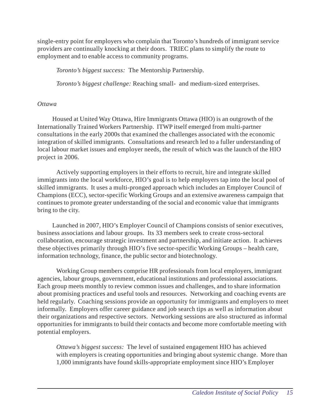single-entry point for employers who complain that Toronto's hundreds of immigrant service providers are continually knocking at their doors. TRIEC plans to simplify the route to employment and to enable access to community programs.

*Toronto's biggest success:* The Mentorship Partnership.

*Toronto's biggest challenge:* Reaching small- and medium-sized enterprises.

## *Ottawa*

Housed at United Way Ottawa, Hire Immigrants Ottawa (HIO) is an outgrowth of the Internationally Trained Workers Partnership. ITWP itself emerged from multi-partner consultations in the early 2000s that examined the challenges associated with the economic integration of skilled immigrants. Consultations and research led to a fuller understanding of local labour market issues and employer needs, the result of which was the launch of the HIO project in 2006.

Actively supporting employers in their efforts to recruit, hire and integrate skilled immigrants into the local workforce, HIO's goal is to help employers tap into the local pool of skilled immigrants. It uses a multi-pronged approach which includes an Employer Council of Champions (ECC), sector-specific Working Groups and an extensive awareness campaign that continues to promote greater understanding of the social and economic value that immigrants bring to the city.

Launched in 2007, HIO's Employer Council of Champions consists of senior executives, business associations and labour groups. Its 33 members seek to create cross-sectoral collaboration, encourage strategic investment and partnership, and initiate action. It achieves these objectives primarily through HIO's five sector-specific Working Groups – health care, information technology, finance, the public sector and biotechnology.

Working Group members comprise HR professionals from local employers, immigrant agencies, labour groups, government, educational institutions and professional associations. Each group meets monthly to review common issues and challenges, and to share information about promising practices and useful tools and resources. Networking and coaching events are held regularly. Coaching sessions provide an opportunity for immigrants and employers to meet informally. Employers offer career guidance and job search tips as well as information about their organizations and respective sectors. Networking sessions are also structured as informal opportunities for immigrants to build their contacts and become more comfortable meeting with potential employers.

*Ottawa's biggest success:* The level of sustained engagement HIO has achieved with employers is creating opportunities and bringing about systemic change. More than 1,000 immigrants have found skills-appropriate employment since HIO's Employer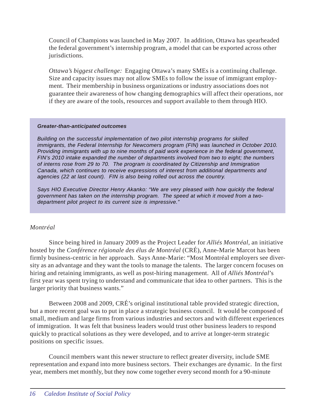Council of Champions was launched in May 2007. In addition, Ottawa has spearheaded the federal government's internship program, a model that can be exported across other jurisdictions.

*Ottawa's biggest challenge:* Engaging Ottawa's many SMEs is a continuing challenge. Size and capacity issues may not allow SMEs to follow the issue of immigrant employment. Their membership in business organizations or industry associations does not guarantee their awareness of how changing demographics will affect their operations, nor if they are aware of the tools, resources and support available to them through HIO.

#### *Greater-than-anticipated outcomes*

*Building on the successful implementation of two pilot internship programs for skilled immigrants, the Federal Internship for Newcomers program (FIN) was launched in October 2010. Providing immigrants with up to nine months of paid work experience in the federal government, FIN's 2010 intake expanded the number of departments involved from two to eight; the numbers of interns rose from 29 to 70. The program is coordinated by Citizenship and Immigration Canada, which continues to receive expressions of interest from additional departments and agencies (22 at last count). FIN is also being rolled out across the country.*

*Says HIO Executive Director Henry Akanko: "We are very pleased with how quickly the federal government has taken on the internship program. The speed at which it moved from a twodepartment pilot project to its current size is impressive."*

#### *Montréal*

Since being hired in January 2009 as the Project Leader for *Alliés Montréal*, an initiative hosted by the *Conférence régionale des élus de Montréal* (CRÉ), Anne-Marie Marcot has been firmly business-centric in her approach. Says Anne-Marie: "Most Montréal employers see diversity as an advantage and they want the tools to manage the talents. The larger concern focuses on hiring and retaining immigrants, as well as post-hiring management. All of *Alliés Montréal*'s first year was spent trying to understand and communicate that idea to other partners. This is the larger priority that business wants."

Between 2008 and 2009, CRÉ's original institutional table provided strategic direction, but a more recent goal was to put in place a strategic business council. It would be composed of small, medium and large firms from various industries and sectors and with different experiences of immigration. It was felt that business leaders would trust other business leaders to respond quickly to practical solutions as they were developed, and to arrive at longer-term strategic positions on specific issues.

Council members want this newer structure to reflect greater diversity, include SME representation and expand into more business sectors. Their exchanges are dynamic. In the first year, members met monthly, but they now come together every second month for a 90-minute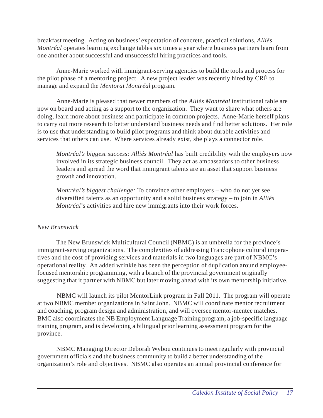breakfast meeting. Acting on business' expectation of concrete, practical solutions, *Alliés Montréal* operates learning exchange tables six times a year where business partners learn from one another about successful and unsuccessful hiring practices and tools.

Anne-Marie worked with immigrant-serving agencies to build the tools and process for the pilot phase of a mentoring project. A new project leader was recently hired by CRÉ to manage and expand the *Mentorat Montréal* program*.* 

Anne-Marie is pleased that newer members of the *Alliés Montréal* institutional table are now on board and acting as a support to the organization. They want to share what others are doing, learn more about business and participate in common projects. Anne-Marie herself plans to carry out more research to better understand business needs and find better solutions. Her role is to use that understanding to build pilot programs and think about durable activities and services that others can use. Where services already exist, she plays a connector role.

*Montréal's biggest success: Alliés Montréal* has built credibility with the employers now involved in its strategic business council. They act as ambassadors to other business leaders and spread the word that immigrant talents are an asset that support business growth and innovation.

*Montréal's biggest challenge:* To convince other employers – who do not yet see diversified talents as an opportunity and a solid business strategy – to join in *Alliés Montréal*'s activities and hire new immigrants into their work forces.

## *New Brunswick*

The New Brunswick Multicultural Council (NBMC) is an umbrella for the province's immigrant-serving organizations. The complexities of addressing Francophone cultural imperatives and the cost of providing services and materials in two languages are part of NBMC's operational reality. An added wrinkle has been the perception of duplication around employeefocused mentorship programming, with a branch of the provincial government originally suggesting that it partner with NBMC but later moving ahead with its own mentorship initiative.

NBMC will launch its pilot MentorLink program in Fall 2011. The program will operate at two NBMC member organizations in Saint John. NBMC will coordinate mentor recruitment and coaching, program design and administration, and will oversee mentor-mentee matches. BMC also coordinates the NB Employment Language Training program, a job-specific language training program, and is developing a bilingual prior learning assessment program for the province.

NBMC Managing Director Deborah Wybou continues to meet regularly with provincial government officials and the business community to build a better understanding of the organization's role and objectives. NBMC also operates an annual provincial conference for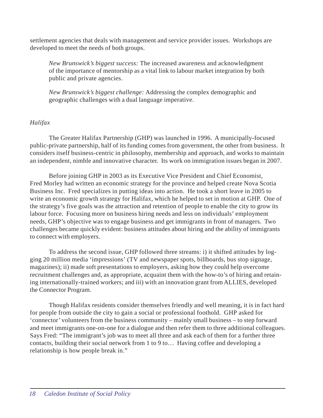settlement agencies that deals with management and service provider issues. Workshops are developed to meet the needs of both groups.

*New Brunswick's biggest success:* The increased awareness and acknowledgment of the importance of mentorship as a vital link to labour market integration by both public and private agencies.

*New Brunswick's biggest challenge:* Addressing the complex demographic and geographic challenges with a dual language imperative.

### *Halifax*

The Greater Halifax Partnership (GHP) was launched in 1996. A municipally-focused public-private partnership, half of its funding comes from government, the other from business. It considers itself business-centric in philosophy, membership and approach, and works to maintain an independent, nimble and innovative character. Its work on immigration issues began in 2007.

Before joining GHP in 2003 as its Executive Vice President and Chief Economist, Fred Morley had written an economic strategy for the province and helped create Nova Scotia Business Inc. Fred specializes in putting ideas into action. He took a short leave in 2005 to write an economic growth strategy for Halifax, which he helped to set in motion at GHP. One of the strategy's five goals was the attraction and retention of people to enable the city to grow its labour force. Focusing more on business hiring needs and less on individuals' employment needs, GHP's objective was to engage business and get immigrants in front of managers. Two challenges became quickly evident: business attitudes about hiring and the ability of immigrants to connect with employers.

To address the second issue, GHP followed three streams: i) it shifted attitudes by logging 20 million media 'impressions' (TV and newspaper spots, billboards, bus stop signage, magazines); ii) made soft presentations to employers, asking how they could help overcome recruitment challenges and, as appropriate, acquaint them with the how-to's of hiring and retaining internationally-trained workers; and iii) with an innovation grant from ALLIES, developed the Connector Program.

Though Halifax residents consider themselves friendly and well meaning, it is in fact hard for people from outside the city to gain a social or professional foothold. GHP asked for 'connector' volunteers from the business community – mainly small business – to step forward and meet immigrants one-on-one for a dialogue and then refer them to three additional colleagues. Says Fred: "The immigrant's job was to meet all three and ask each of them for a further three contacts, building their social network from 1 to 9 to… Having coffee and developing a relationship is how people break in."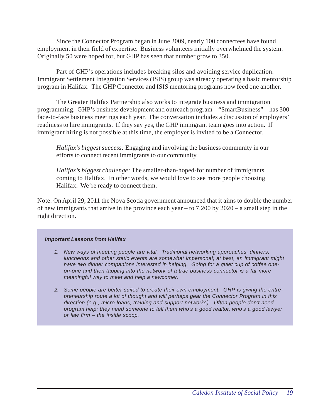Since the Connector Program began in June 2009, nearly 100 connectees have found employment in their field of expertise. Business volunteers initially overwhelmed the system. Originally 50 were hoped for, but GHP has seen that number grow to 350.

Part of GHP's operations includes breaking silos and avoiding service duplication. Immigrant Settlement Integration Services (ISIS) group was already operating a basic mentorship program in Halifax. The GHP Connector and ISIS mentoring programs now feed one another.

The Greater Halifax Partnership also works to integrate business and immigration programming. GHP's business development and outreach program – "SmartBusiness" – has 300 face-to-face business meetings each year. The conversation includes a discussion of employers' readiness to hire immigrants. If they say yes, the GHP immigrant team goes into action. If immigrant hiring is not possible at this time, the employer is invited to be a Connector.

*Halifax's biggest success:* Engaging and involving the business community in our efforts to connect recent immigrants to our community.

*Halifax's biggest challenge:* The smaller-than-hoped-for number of immigrants coming to Halifax. In other words, we would love to see more people choosing Halifax. We're ready to connect them.

Note: On April 29, 2011 the Nova Scotia government announced that it aims to double the number of new immigrants that arrive in the province each year – to 7,200 by 2020 – a small step in the right direction.

#### *Important Lessons from Halifax*

- *1. New ways of meeting people are vital. Traditional networking approaches, dinners, luncheons and other static events are somewhat impersonal; at best, an immigrant might have two dinner companions interested in helping. Going for a quiet cup of coffee oneon-one and then tapping into the network of a true business connector is a far more meaningful way to meet and help a newcomer.*
- *2. Some people are better suited to create their own employment. GHP is giving the entrepreneurship route a lot of thought and will perhaps gear the Connector Program in this direction (e.g., micro-loans, training and support networks). Often people don't need program help; they need someone to tell them who's a good realtor, who's a good lawyer or law firm – the inside scoop.*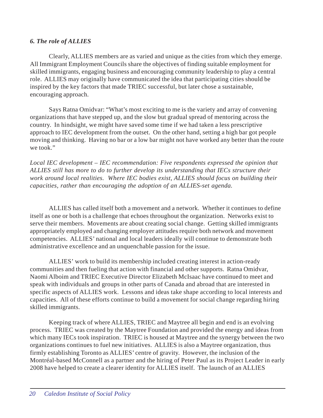### *6. The role of ALLIES*

Clearly, ALLIES members are as varied and unique as the cities from which they emerge. All Immigrant Employment Councils share the objectives of finding suitable employment for skilled immigrants, engaging business and encouraging community leadership to play a central role. ALLIES may originally have communicated the idea that participating cities should be inspired by the key factors that made TRIEC successful, but later chose a sustainable, encouraging approach.

Says Ratna Omidvar: "What's most exciting to me is the variety and array of convening organizations that have stepped up, and the slow but gradual spread of mentoring across the country. In hindsight, we might have saved some time if we had taken a less prescriptive approach to IEC development from the outset. On the other hand, setting a high bar got people moving and thinking. Having no bar or a low bar might not have worked any better than the route we took."

*Local IEC development – IEC recommendation: Five respondents expressed the opinion that ALLIES still has more to do to further develop its understanding that IECs structure their work around local realities. Where IEC bodies exist, ALLIES should focus on building their capacities, rather than encouraging the adoption of an ALLIES-set agenda.*

ALLIES has called itself both a movement and a network. Whether it continues to define itself as one or both is a challenge that echoes throughout the organization. Networks exist to serve their members. Movements are about creating social change. Getting skilled immigrants appropriately employed and changing employer attitudes require both network and movement competencies. ALLIES' national and local leaders ideally will continue to demonstrate both administrative excellence and an unquenchable passion for the issue.

ALLIES' work to build its membership included creating interest in action-ready communities and then fueling that action with financial and other supports. Ratna Omidvar, Naomi Alboim and TRIEC Executive Director Elizabeth McIsaac have continued to meet and speak with individuals and groups in other parts of Canada and abroad that are interested in specific aspects of ALLIES work. Lessons and ideas take shape according to local interests and capacities. All of these efforts continue to build a movement for social change regarding hiring skilled immigrants.

Keeping track of where ALLIES, TRIEC and Maytree all begin and end is an evolving process. TRIEC was created by the Maytree Foundation and provided the energy and ideas from which many IECs took inspiration. TRIEC is housed at Maytree and the synergy between the two organizations continues to fuel new initiatives. ALLIES is also a Maytree organization, thus firmly establishing Toronto as ALLIES' centre of gravity. However, the inclusion of the Montréal-based McConnell as a partner and the hiring of Peter Paul as its Project Leader in early 2008 have helped to create a clearer identity for ALLIES itself. The launch of an ALLIES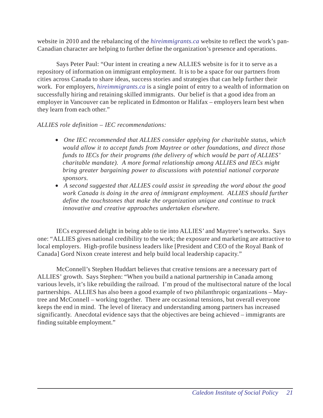website in 2010 and the rebalancing of the *hireimmigrants.ca* website to reflect the work's pan-Canadian character are helping to further define the organization's presence and operations.

Says Peter Paul: "Our intent in creating a new ALLIES website is for it to serve as a repository of information on immigrant employment. It is to be a space for our partners from cities across Canada to share ideas, success stories and strategies that can help further their work. For employers, *hireimmigrants.ca* is a single point of entry to a wealth of information on successfully hiring and retaining skilled immigrants. Our belief is that a good idea from an employer in Vancouver can be replicated in Edmonton or Halifax *–* employers learn best when they learn from each other."

*ALLIES role definition – IEC recommendations:*

- *One IEC recommended that ALLIES consider applying for charitable status, which would allow it to accept funds from Maytree or other foundations, and direct those funds to IECs for their programs (the delivery of which would be part of ALLIES' charitable mandate). A more formal relationship among ALLIES and IECs might bring greater bargaining power to discussions with potential national corporate sponsors.*
- *A second suggested that ALLIES could assist in spreading the word about the good work Canada is doing in the area of immigrant employment. ALLIES should further define the touchstones that make the organization unique and continue to track innovative and creative approaches undertaken elsewhere.*

IECs expressed delight in being able to tie into ALLIES' and Maytree's networks. Says one: "ALLIES gives national credibility to the work; the exposure and marketing are attractive to local employers. High-profile business leaders like [President and CEO of the Royal Bank of Canada] Gord Nixon create interest and help build local leadership capacity."

McConnell's Stephen Huddart believes that creative tensions are a necessary part of ALLIES' growth. Says Stephen: "When you build a national partnership in Canada among various levels, it's like rebuilding the railroad. I'm proud of the multisectoral nature of the local partnerships. ALLIES has also been a good example of two philanthropic organizations – Maytree and McConnell – working together. There are occasional tensions, but overall everyone keeps the end in mind. The level of literacy and understanding among partners has increased significantly. Anecdotal evidence says that the objectives are being achieved – immigrants are finding suitable employment."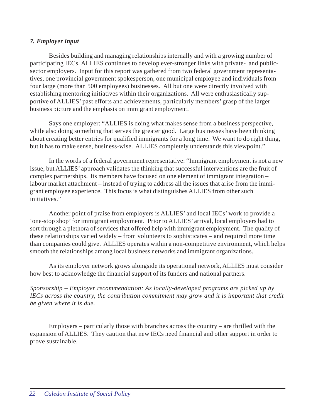#### *7. Employer input*

Besides building and managing relationships internally and with a growing number of participating IECs, ALLIES continues to develop ever-stronger links with private- and publicsector employers. Input for this report was gathered from two federal government representatives, one provincial government spokesperson, one municipal employee and individuals from four large (more than 500 employees) businesses. All but one were directly involved with establishing mentoring initiatives within their organizations. All were enthusiastically supportive of ALLIES' past efforts and achievements, particularly members' grasp of the larger business picture and the emphasis on immigrant employment.

Says one employer: "ALLIES is doing what makes sense from a business perspective, while also doing something that serves the greater good. Large businesses have been thinking about creating better entries for qualified immigrants for a long time. We want to do right thing, but it has to make sense, business-wise. ALLIES completely understands this viewpoint."

In the words of a federal government representative: "Immigrant employment is not a new issue, but ALLIES' approach validates the thinking that successful interventions are the fruit of complex partnerships. Its members have focused on one element of immigrant integration – labour market attachment – instead of trying to address all the issues that arise from the immigrant employee experience. This focus is what distinguishes ALLIES from other such initiatives."

Another point of praise from employers is ALLIES' and local IECs' work to provide a 'one-stop shop' for immigrant employment. Prior to ALLIES' arrival, local employers had to sort through a plethora of services that offered help with immigrant employment. The quality of these relationships varied widely – from volunteers to sophisticates – and required more time than companies could give. ALLIES operates within a non-competitive environment, which helps smooth the relationships among local business networks and immigrant organizations.

As its employer network grows alongside its operational network, ALLIES must consider how best to acknowledge the financial support of its funders and national partners.

*Sponsorship – Employer recommendation: As locally-developed programs are picked up by IECs across the country, the contribution commitment may grow and it is important that credit be given where it is due.*

Employers – particularly those with branches across the country – are thrilled with the expansion of ALLIES. They caution that new IECs need financial and other support in order to prove sustainable.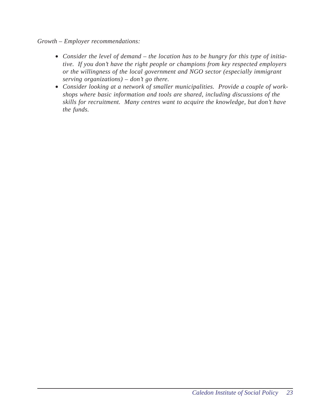#### *Growth – Employer recommendations:*

- *Consider the level of demand the location has to be hungry for this type of initiative. If you don't have the right people or champions from key respected employers or the willingness of the local government and NGO sector (especially immigrant serving organizations) – don't go there.*
- *Consider looking at a network of smaller municipalities. Provide a couple of workshops where basic information and tools are shared, including discussions of the skills for recruitment. Many centres want to acquire the knowledge, but don't have the funds.*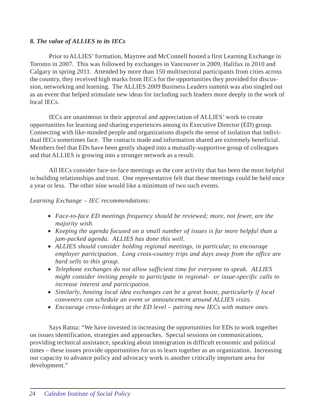### *8. The value of ALLIES to its IECs*

Prior to ALLIES' formation, Maytree and McConnell hosted a first Learning Exchange in Toronto in 2007. This was followed by exchanges in Vancouver in 2009, Halifax in 2010 and Calgary in spring 2011. Attended by more than 150 multisectoral participants from cities across the country, they received high marks from IECs for the opportunities they provided for discussion, networking and learning. The ALLIES 2009 Business Leaders summit was also singled out as an event that helped stimulate new ideas for including such leaders more deeply in the work of local IECs.

IECs are unanimous in their approval and appreciation of ALLIES' work to create opportunities for learning and sharing experiences among its Executive Director (ED) group. Connecting with like-minded people and organizations dispels the sense of isolation that individual IECs sometimes face. The contacts made and information shared are extremely beneficial. Members feel that EDs have been gently shaped into a mutually-supportive group of colleagues and that ALLIES is growing into a stronger network as a result.

All IECs consider face-to-face meetings as the core activity that has been the most helpful in building relationships and trust. One representative felt that these meetings could be held once a year or less. The other nine would like a minimum of two such events.

#### *Learning Exchange – IEC recommendations:*

- *Face-to-face ED meetings frequency should be reviewed; more, not fewer, are the majority wish.*
- *Keeping the agenda focused on a small number of issues is far more helpful than a jam-packed agenda. ALLIES has done this well.*
- *ALLIES should consider holding regional meetings, in particular, to encourage employer participation. Long cross-country trips and days away from the office are hard sells to this group.*
- *Telephone exchanges do not allow sufficient time for everyone to speak. ALLIES might consider inviting people to participate in regional- or issue-specific calls to increase interest and participation.*
- *Similarly, hosting local idea exchanges can be a great boost, particularly if local conveners can schedule an event or announcement around ALLIES visits.*
- *Encourage cross-linkages at the ED level pairing new IECs with mature ones.*

Says Ratna: "We have invested in increasing the opportunities for EDs to work together on issues identification, strategies and approaches. Special sessions on communications, providing technical assistance, speaking about immigration in difficult economic and political times – these issues provide opportunities for us to learn together as an organization. Increasing our capacity to advance policy and advocacy work is another critically important area for development."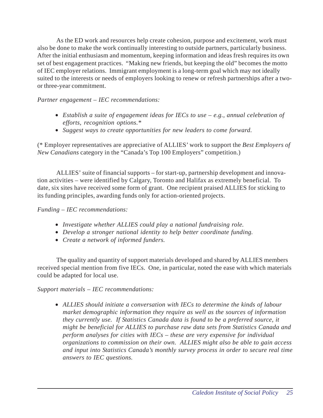As the ED work and resources help create cohesion, purpose and excitement, work must also be done to make the work continually interesting to outside partners, particularly business. After the initial enthusiasm and momentum, keeping information and ideas fresh requires its own set of best engagement practices. "Making new friends, but keeping the old" becomes the motto of IEC employer relations. Immigrant employment is a long-term goal which may not ideally suited to the interests or needs of employers looking to renew or refresh partnerships after a twoor three-year commitment.

*Partner engagement – IEC recommendations:*

- *Establish a suite of engagement ideas for IECs to use e.g., annual celebration of efforts, recognition options.\**
- *Suggest ways to create opportunities for new leaders to come forward.*

(\* Employer representatives are appreciative of ALLIES' work to support the *Best Employers of New Canadians* category in the "Canada's Top 100 Employers" competition.)

ALLIES' suite of financial supports – for start-up, partnership development and innovation activities – were identified by Calgary, Toronto and Halifax as extremely beneficial. To date, six sites have received some form of grant. One recipient praised ALLIES for sticking to its funding principles, awarding funds only for action-oriented projects.

## *Funding – IEC recommendations:*

- *Investigate whether ALLIES could play a national fundraising role.*
- *Develop a stronger national identity to help better coordinate funding.*
- *Create a network of informed funders.*

The quality and quantity of support materials developed and shared by ALLIES members received special mention from five IECs. One, in particular, noted the ease with which materials could be adapted for local use.

## *Support materials – IEC recommendations:*

• *ALLIES should initiate a conversation with IECs to determine the kinds of labour market demographic information they require as well as the sources of information they currently use. If Statistics Canada data is found to be a preferred source, it might be beneficial for ALLIES to purchase raw data sets from Statistics Canada and perform analyses for cities with IECs – these are very expensive for individual organizations to commission on their own. ALLIES might also be able to gain access and input into Statistics Canada's monthly survey process in order to secure real time answers to IEC questions.*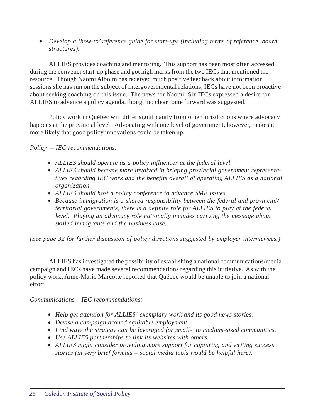• *Develop a 'how-to' reference guide for start-ups (including terms of reference, board structures).*

ALLIES provides coaching and mentoring. This support has been most often accessed during the convener start-up phase and got high marks from the two IECs that mentioned the resource. Though Naomi Alboim has received much positive feedback about information sessions she has run on the subject of intergovernmental relations, IECs have not been proactive about seeking coaching on this issue. The news for Naomi: Six IECs expressed a desire for ALLIES to advance a policy agenda, though no clear route forward was suggested.

Policy work in Québec will differ significantly from other jurisdictions where advocacy happens at the provincial level. Advocating with one level of government, however, makes it more likely that good policy innovations could be taken up.

*Policy – IEC recommendations:*

- *ALLIES should operate as a policy influencer at the federal level.*
- *ALLIES should become more involved in briefing provincial government representatives regarding IEC work and the benefits overall of operating ALLIES as a national organization.*
- *ALLIES should host a policy conference to advance SME issues.*
- *Because immigration is a shared responsibility between the federal and provincial/ territorial governments, there is a definite role for ALLIES to play at the federal level. Playing an advocacy role nationally includes carrying the message about skilled immigrants and the business case.*

*(See page 32 for further discussion of policy directions suggested by employer interviewees.)*

ALLIES has investigated the possibility of establishing a national communications/media campaign and IECs have made several recommendations regarding this initiative. As with the policy work, Anne-Marie Marcotte reported that Québec would be unable to join a national effort.

*Communications – IEC recommendations:*

- *Help get attention for ALLIES' exemplary work and its good news stories.*
- *Devise a campaign around equitable employment.*
- *Find ways the strategy can be leveraged for small- to medium-sized communities.*
- *Use ALLIES partnerships to link its websites with others.*
- *ALLIES might consider providing more support for capturing and writing success stories (in very brief formats – social media tools would be helpful here).*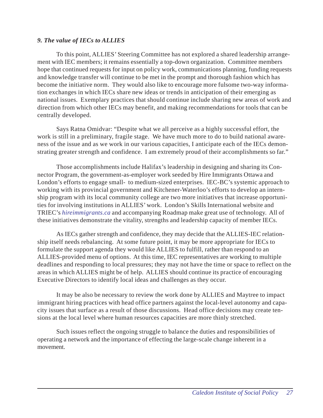## *9. The value of IECs to ALLIES*

To this point, ALLIES' Steering Committee has not explored a shared leadership arrangement with IEC members; it remains essentially a top-down organization. Committee members hope that continued requests for input on policy work, communications planning, funding requests and knowledge transfer will continue to be met in the prompt and thorough fashion which has become the initiative norm. They would also like to encourage more fulsome two-way information exchanges in which IECs share new ideas or trends in anticipation of their emerging as national issues. Exemplary practices that should continue include sharing new areas of work and direction from which other IECs may benefit, and making recommendations for tools that can be centrally developed.

Says Ratna Omidvar: "Despite what we all perceive as a highly successful effort, the work is still in a preliminary, fragile stage. We have much more to do to build national awareness of the issue and as we work in our various capacities, I anticipate each of the IECs demonstrating greater strength and confidence. I am extremely proud of their accomplishments so far."

Those accomplishments include Halifax's leadership in designing and sharing its Connector Program, the government-as-employer work seeded by Hire Immigrants Ottawa and London's efforts to engage small- to medium-sized enterprises. IEC-BC's systemic approach to working with its provincial government and Kitchener-Waterloo's efforts to develop an internship program with its local community college are two more initiatives that increase opportunities for involving institutions in ALLIES' work. London's Skills International website and TRIEC's *hireimmigrants.ca* and accompanying Roadmap make great use of technology. All of these initiatives demonstrate the vitality, strengths and leadership capacity of member IECs.

As IECs gather strength and confidence, they may decide that the ALLIES-IEC relationship itself needs rebalancing. At some future point, it may be more appropriate for IECs to formulate the support agenda they would like ALLIES to fulfill, rather than respond to an ALLIES-provided menu of options. At this time, IEC representatives are working to multiple deadlines and responding to local pressures; they may not have the time or space to reflect on the areas in which ALLIES might be of help. ALLIES should continue its practice of encouraging Executive Directors to identify local ideas and challenges as they occur.

It may be also be necessary to review the work done by ALLIES and Maytree to impact immigrant hiring practices with head office partners against the local-level autonomy and capacity issues that surface as a result of those discussions. Head office decisions may create tensions at the local level where human resources capacities are more thinly stretched.

Such issues reflect the ongoing struggle to balance the duties and responsibilities of operating a network and the importance of effecting the large-scale change inherent in a movement.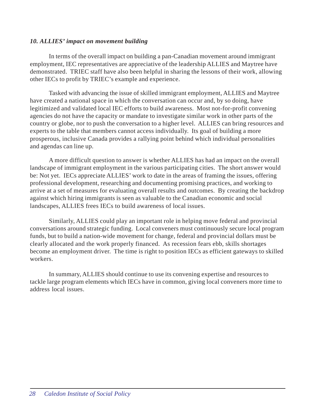### *10. ALLIES' impact on movement building*

In terms of the overall impact on building a pan-Canadian movement around immigrant employment, IEC representatives are appreciative of the leadership ALLIES and Maytree have demonstrated. TRIEC staff have also been helpful in sharing the lessons of their work, allowing other IECs to profit by TRIEC's example and experience.

Tasked with advancing the issue of skilled immigrant employment, ALLIES and Maytree have created a national space in which the conversation can occur and, by so doing, have legitimized and validated local IEC efforts to build awareness. Most not-for-profit convening agencies do not have the capacity or mandate to investigate similar work in other parts of the country or globe, nor to push the conversation to a higher level. ALLIES can bring resources and experts to the table that members cannot access individually. Its goal of building a more prosperous, inclusive Canada provides a rallying point behind which individual personalities and agendas can line up.

A more difficult question to answer is whether ALLIES has had an impact on the overall landscape of immigrant employment in the various participating cities. The short answer would be: Not yet. IECs appreciate ALLIES' work to date in the areas of framing the issues, offering professional development, researching and documenting promising practices, and working to arrive at a set of measures for evaluating overall results and outcomes. By creating the backdrop against which hiring immigrants is seen as valuable to the Canadian economic and social landscapes, ALLIES frees IECs to build awareness of local issues.

Similarly, ALLIES could play an important role in helping move federal and provincial conversations around strategic funding. Local conveners must continuously secure local program funds, but to build a nation-wide movement for change, federal and provincial dollars must be clearly allocated and the work properly financed. As recession fears ebb, skills shortages become an employment driver. The time is right to position IECs as efficient gateways to skilled workers.

In summary, ALLIES should continue to use its convening expertise and resources to tackle large program elements which IECs have in common, giving local conveners more time to address local issues.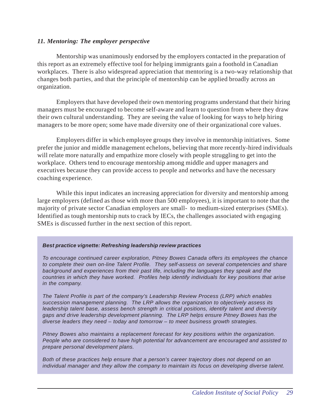#### *11. Mentoring: The employer perspective*

Mentorship was unanimously endorsed by the employers contacted in the preparation of this report as an extremely effective tool for helping immigrants gain a foothold in Canadian workplaces. There is also widespread appreciation that mentoring is a two-way relationship that changes both parties, and that the principle of mentorship can be applied broadly across an organization.

Employers that have developed their own mentoring programs understand that their hiring managers must be encouraged to become self-aware and learn to question from where they draw their own cultural understanding. They are seeing the value of looking for ways to help hiring managers to be more open; some have made diversity one of their organizational core values.

Employers differ in which employee groups they involve in mentorship initiatives. Some prefer the junior and middle management echelons, believing that more recently-hired individuals will relate more naturally and empathize more closely with people struggling to get into the workplace. Others tend to encourage mentorship among middle and upper managers and executives because they can provide access to people and networks and have the necessary coaching experience.

While this input indicates an increasing appreciation for diversity and mentorship among large employers (defined as those with more than 500 employees), it is important to note that the majority of private sector Canadian employers are small- to medium-sized enterprises (SMEs). Identified as tough mentorship nuts to crack by IECs, the challenges associated with engaging SMEs is discussed further in the next section of this report.

#### *Best practice vignette: Refreshing leadership review practices*

*To encourage continued career exploration, Pitney Bowes Canada offers its employees the chance to complete their own on-line Talent Profile. They self-assess on several competencies and share background and experiences from their past life, including the languages they speak and the countries in which they have worked. Profiles help identify individuals for key positions that arise in the company.*

*The Talent Profile is part of the company's Leadership Review Process (LRP) which enables succession management planning. The LRP allows the organization to objectively assess its leadership talent base, assess bench strength in critical positions, identify talent and diversity gaps and drive leadership development planning. The LRP helps ensure Pitney Bowes has the diverse leaders they need – today and tomorrow – to meet business growth strategies.*

*Pitney Bowes also maintains a replacement forecast for key positions within the organization. People who are considered to have high potential for advancement are encouraged and assisted to prepare personal development plans.*

*Both of these practices help ensure that a person's career trajectory does not depend on an individual manager and they allow the company to maintain its focus on developing diverse talent.*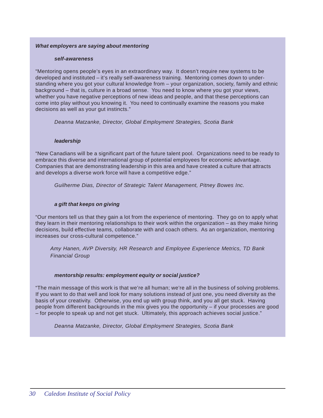#### *What employers are saying about mentoring*

#### *self-awareness*

"Mentoring opens people's eyes in an extraordinary way. It doesn't require new systems to be developed and instituted – it's really self-awareness training. Mentoring comes down to understanding where you got your cultural knowledge from – your organization, society, family and ethnic background – that is, culture in a broad sense. You need to know where you got your views, whether you have negative perceptions of new ideas and people, and that these perceptions can come into play without you knowing it. You need to continually examine the reasons you make decisions as well as your gut instincts."

*Deanna Matzanke, Director, Global Employment Strategies, Scotia Bank*

#### *leadership*

"New Canadians will be a significant part of the future talent pool. Organizations need to be ready to embrace this diverse and international group of potential employees for economic advantage. Companies that are demonstrating leadership in this area and have created a culture that attracts and develops a diverse work force will have a competitive edge."

*Guilherme Dias, Director of Strategic Talent Management, Pitney Bowes Inc.*

#### *a gift that keeps on giving*

"Our mentors tell us that they gain a lot from the experience of mentoring. They go on to apply what they learn in their mentoring relationships to their work within the organization – as they make hiring decisions, build effective teams, collaborate with and coach others. As an organization, mentoring increases our cross-cultural competence."

*Amy Hanen, AVP Diversity, HR Research and Employee Experience Metrics, TD Bank Financial Group*

#### *mentorship results: employment equity or social justice?*

"The main message of this work is that we're all human; we're all in the business of solving problems. If you want to do that well and look for many solutions instead of just one, you need diversity as the basis of your creativity. Otherwise, you end up with group think, and you all get stuck. Having people from different backgrounds in the mix gives you the opportunity – if your processes are good – for people to speak up and not get stuck. Ultimately, this approach achieves social justice."

*Deanna Matzanke, Director, Global Employment Strategies, Scotia Bank*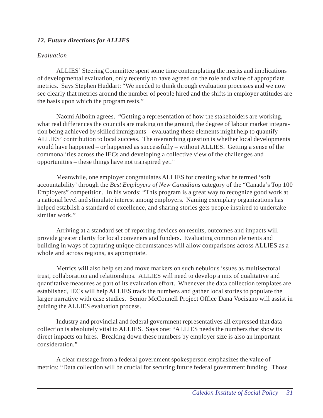## *12. Future directions for ALLIES*

## *Evaluation*

ALLIES' Steering Committee spent some time contemplating the merits and implications of developmental evaluation, only recently to have agreed on the role and value of appropriate metrics. Says Stephen Huddart: "We needed to think through evaluation processes and we now see clearly that metrics around the number of people hired and the shifts in employer attitudes are the basis upon which the program rests."

Naomi Alboim agrees. "Getting a representation of how the stakeholders are working, what real differences the councils are making on the ground, the degree of labour market integration being achieved by skilled immigrants – evaluating these elements might help to quantify ALLIES' contribution to local success. The overarching question is whether local developments would have happened – or happened as successfully – without ALLIES. Getting a sense of the commonalities across the IECs and developing a collective view of the challenges and opportunities – these things have not transpired yet."

Meanwhile, one employer congratulates ALLIES for creating what he termed 'soft accountability' through the *Best Employers of New Canadians* category of the "Canada's Top 100 Employers" competition. In his words: "This program is a great way to recognize good work at a national level and stimulate interest among employers. Naming exemplary organizations has helped establish a standard of excellence, and sharing stories gets people inspired to undertake similar work."

Arriving at a standard set of reporting devices on results, outcomes and impacts will provide greater clarity for local conveners and funders. Evaluating common elements and building in ways of capturing unique circumstances will allow comparisons across ALLIES as a whole and across regions, as appropriate.

Metrics will also help set and move markers on such nebulous issues as multisectoral trust, collaboration and relationships. ALLIES will need to develop a mix of qualitative and quantitative measures as part of its evaluation effort. Whenever the data collection templates are established, IECs will help ALLIES track the numbers and gather local stories to populate the larger narrative with case studies. Senior McConnell Project Office Dana Vocisano will assist in guiding the ALLIES evaluation process.

Industry and provincial and federal government representatives all expressed that data collection is absolutely vital to ALLIES. Says one: "ALLIES needs the numbers that show its direct impacts on hires. Breaking down these numbers by employer size is also an important consideration."

A clear message from a federal government spokesperson emphasizes the value of metrics: "Data collection will be crucial for securing future federal government funding. Those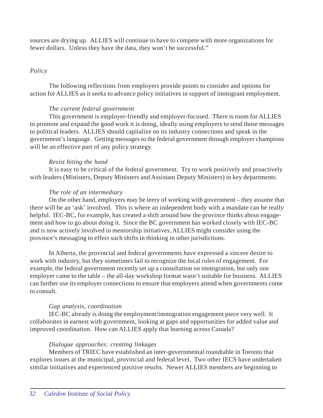sources are drying up. ALLIES will continue to have to compete with more organizations for fewer dollars. Unless they have the data, they won't be successful."

#### *Policy*

The following reflections from employers provide points to consider and options for action for ALLIES as it seeks to advance policy initiatives in support of immigrant employment.

#### *The current federal government*

This government is employer-friendly and employer-focused. There is room for ALLIES to promote and expand the good work it is doing, ideally using employers to send those messages to political leaders. ALLIES should capitalize on its industry connections and speak in the government's language. Getting messages to the federal government through employer champions will be an effective part of any policy strategy.

## *Resist biting the hand*

It is easy to be critical of the federal government. Try to work positively and proactively with leaders (Ministers, Deputy Ministers and Assistant Deputy Ministers) in key departments.

### *The role of an intermediary*

On the other hand, employers may be leery of working with government – they assume that there will be an 'ask' involved. This is where an independent body with a mandate can be really helpful. IEC-BC, for example, has created a shift around how the province thinks about engagement and how to go about doing it. Since the BC government has worked closely with IEC-BC and is now actively involved in mentorship initiatives, ALLIES might consider using the province's messaging to effect such shifts in thinking in other jurisdictions.

In Alberta, the provincial and federal governments have expressed a sincere desire to work with industry, but they sometimes fail to recognize the local rules of engagement. For example, the federal government recently set up a consultation on immigration, but only one employer came to the table – the all-day workshop format wasn't suitable for business. ALLIES can further use its employer connections to ensure that employers attend when governments come to consult.

## *Gap analysis, coordination*

IEC-BC already is doing the employment/immigration engagement piece very well. It collaborates in earnest with government, looking at gaps and opportunities for added value and improved coordination. How can ALLIES apply that learning across Canada?

#### *Dialogue approaches: creating linkages*

Members of TRIEC have established an inter-governmental roundtable in Toronto that explores issues at the municipal, provincial and federal level. Two other IECS have undertaken similar initiatives and experienced positive results. Newer ALLIES members are beginning to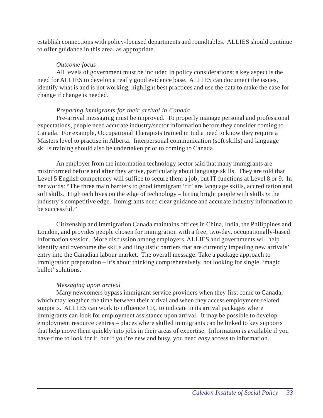establish connections with policy-focused departments and roundtables. ALLIES should continue to offer guidance in this area, as appropriate.

#### *Outcome focus*

All levels of government must be included in policy considerations; a key aspect is the need for ALLIES to develop a really good evidence base. ALLIES can document the issues, identify what is and is not working, highlight best practices and use the data to make the case for change if change is needed.

## *Preparing immigrants for their arrival in Canada*

Pre-arrival messaging must be improved. To properly manage personal and professional expectations, people need accurate industry/sector information before they consider coming to Canada. For example, Occupational Therapists trained in India need to know they require a Masters level to practise in Alberta. Interpersonal communication (soft skills) and language skills training should also be undertaken prior to coming to Canada.

An employer from the information technology sector said that many immigrants are misinformed before and after they arrive, particularly about language skills. They are told that Level 5 English competency will suffice to secure them a job, but IT functions at Level 8 or 9. In her words: "The three main barriers to good immigrant 'fit' are language skills, accreditation and soft skills. High tech lives on the edge of technology – hiring bright people with skills *is* the industry's competitive edge. Immigrants need clear guidance and accurate industry information to be successful."

Citizenship and Immigration Canada maintains offices in China, India, the Philippines and London, and provides people chosen for immigration with a free, two-day, occupationally-based information session. More discussion among employers, ALLIES and governments will help identify and overcome the skills and linguistic barriers that are currently impeding new arrivals' entry into the Canadian labour market. The overall message: Take a package approach to immigration preparation – it's about thinking comprehensively, not looking for single, 'magic bullet' solutions.

## *Messaging upon arrival*

Many newcomers bypass immigrant service providers when they first come to Canada, which may lengthen the time between their arrival and when they access employment-related supports. ALLIES can work to influence CIC to indicate in its arrival packages where immigrants can look for employment assistance upon arrival. It may be possible to develop employment resource centres – places where skilled immigrants can be linked to key supports that help move them quickly into jobs in their areas of expertise. Information *is* available if you have time to look for it, but if you're new and busy, you need *easy* access to information.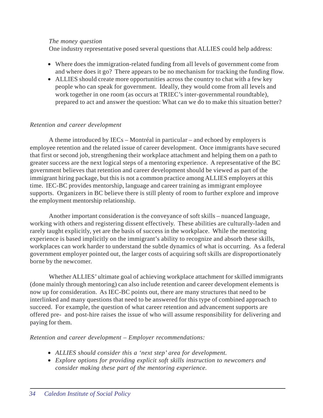#### *The money question*

One industry representative posed several questions that ALLIES could help address:

- Where does the immigration-related funding from all levels of government come from and where does it go? There appears to be no mechanism for tracking the funding flow.
- ALLIES should create more opportunities across the country to chat with a few key people who can speak for government. Ideally, they would come from all levels and work together in one room (as occurs at TRIEC's inter-governmental roundtable), prepared to act and answer the question: What can we do to make this situation better?

### *Retention and career development*

A theme introduced by IECs – Montréal in particular – and echoed by employers is employee retention and the related issue of career development. Once immigrants have secured that first or second job, strengthening their workplace attachment and helping them on a path to greater success are the next logical steps of a mentoring experience. A representative of the BC government believes that retention and career development should be viewed as part of the immigrant hiring package, but this is not a common practice among ALLIES employers at this time. IEC-BC provides mentorship, language and career training as immigrant employee supports. Organizers in BC believe there is still plenty of room to further explore and improve the employment mentorship relationship.

Another important consideration is the conveyance of soft skills – nuanced language, working with others and registering dissent effectively. These abilities are culturally-laden and rarely taught explicitly, yet are the basis of success in the workplace. While the mentoring experience is based implicitly on the immigrant's ability to recognize and absorb these skills, workplaces can work harder to understand the subtle dynamics of what is occurring. As a federal government employer pointed out, the larger costs of acquiring soft skills are disproportionately borne by the newcomer.

Whether ALLIES' ultimate goal of achieving workplace attachment for skilled immigrants (done mainly through mentoring) can also include retention and career development elements is now up for consideration. As IEC-BC points out, there are many structures that need to be interlinked and many questions that need to be answered for this type of combined approach to succeed. For example, the question of what career retention and advancement supports are offered pre- and post-hire raises the issue of who will assume responsibility for delivering and paying for them.

## *Retention and career development – Employer recommendations:*

- *ALLIES should consider this a 'next step' area for development.*
- *Explore options for providing explicit soft skills instruction to newcomers and consider making these part of the mentoring experience.*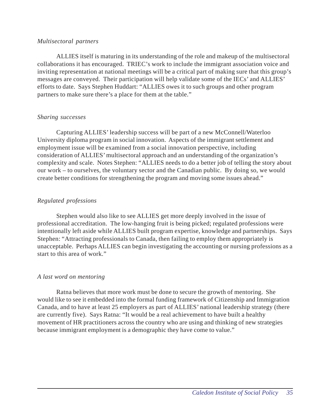#### *Multisectoral partners*

ALLIES itself is maturing in its understanding of the role and makeup of the multisectoral collaborations it has encouraged. TRIEC's work to include the immigrant association voice and inviting representation at national meetings will be a critical part of making sure that this group's messages are conveyed. Their participation will help validate some of the IECs' and ALLIES' efforts to date. Says Stephen Huddart: "ALLIES owes it to such groups and other program partners to make sure there's a place for them at the table."

#### *Sharing successes*

Capturing ALLIES' leadership success will be part of a new McConnell/Waterloo University diploma program in social innovation. Aspects of the immigrant settlement and employment issue will be examined from a social innovation perspective, including consideration of ALLIES' multisectoral approach and an understanding of the organization's complexity and scale. Notes Stephen: "ALLIES needs to do a better job of telling the story about our work – to ourselves, the voluntary sector and the Canadian public. By doing so, we would create better conditions for strengthening the program and moving some issues ahead."

## *Regulated professions*

Stephen would also like to see ALLIES get more deeply involved in the issue of professional accreditation. The low-hanging fruit is being picked; regulated professions were intentionally left aside while ALLIES built program expertise, knowledge and partnerships. Says Stephen: "Attracting professionals to Canada, then failing to employ them appropriately is unacceptable. Perhaps ALLIES can begin investigating the accounting or nursing professions as a start to this area of work."

#### *A last word on mentoring*

Ratna believes that more work must be done to secure the growth of mentoring. She would like to see it embedded into the formal funding framework of Citizenship and Immigration Canada, and to have at least 25 employers as part of ALLIES' national leadership strategy (there are currently five). Says Ratna: "It would be a real achievement to have built a healthy movement of HR practitioners across the country who are using and thinking of new strategies because immigrant employment is a demographic they have come to value."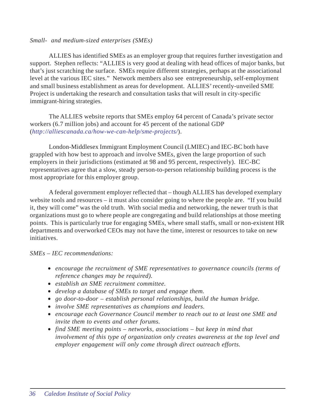#### *Small- and medium-sized enterprises (SMEs)*

ALLIES has identified SMEs as an employer group that requires further investigation and support. Stephen reflects: "ALLIES is very good at dealing with head offices of major banks, but that's just scratching the surface. SMEs require different strategies, perhaps at the associational level at the various IEC sites." Network members also see entrepreneurship, self-employment and small business establishment as areas for development. ALLIES' recently-unveiled SME Project is undertaking the research and consultation tasks that will result in city-specific immigrant-hiring strategies.

The ALLIES website reports that SMEs employ 64 percent of Canada's private sector workers (6.7 million jobs) and account for 45 percent of the national GDP (*http://alliescanada.ca/how-we-can-help/sme-projects/*).

London-Middlesex Immigrant Employment Council (LMIEC) and IEC-BC both have grappled with how best to approach and involve SMEs, given the large proportion of such employers in their jurisdictions (estimated at 98 and 95 percent, respectively). IEC-BC representatives agree that a slow, steady person-to-person relationship building process is the most appropriate for this employer group.

A federal government employer reflected that – though ALLIES has developed exemplary website tools and resources – it must also consider going to where the people are. "If you build it, they will come" was the old truth. With social media and networking, the newer truth is that organizations must go to where people are congregating and build relationships at those meeting points. This is particularly true for engaging SMEs, where small staffs, small or non-existent HR departments and overworked CEOs may not have the time, interest or resources to take on new initiatives.

#### *SMEs – IEC recommendations:*

- *encourage the recruitment of SME representatives to governance councils (terms of reference changes may be required).*
- *establish an SME recruitment committee.*
- *develop a database of SMEs to target and engage them.*
- *go door-to-door establish personal relationships, build the human bridge.*
- *involve SME representatives as champions and leaders.*
- *encourage each Governance Council member to reach out to at least one SME and invite them to events and other forums.*
- *find SME meeting points networks, associations but keep in mind that involvement of this type of organization only creates awareness at the top level and employer engagement will only come through direct outreach efforts.*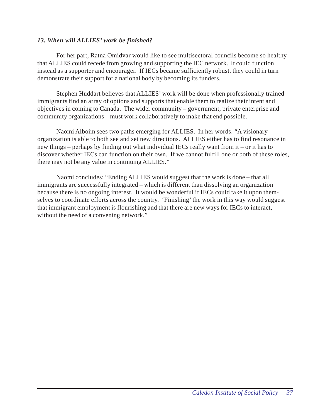## *13. When will ALLIES' work be finished?*

For her part, Ratna Omidvar would like to see multisectoral councils become so healthy that ALLIES could recede from growing and supporting the IEC network. It could function instead as a supporter and encourager. If IECs became sufficiently robust, they could in turn demonstrate their support for a national body by becoming its funders.

Stephen Huddart believes that ALLIES' work will be done when professionally trained immigrants find an array of options and supports that enable them to realize their intent and objectives in coming to Canada. The wider community – government, private enterprise and community organizations – must work collaboratively to make that end possible.

Naomi Alboim sees two paths emerging for ALLIES. In her words: "A visionary organization is able to both see and set new directions. ALLIES either has to find resonance in new things – perhaps by finding out what individual IECs really want from it – or it has to discover whether IECs can function on their own. If we cannot fulfill one or both of these roles, there may not be any value in continuing ALLIES."

Naomi concludes: "Ending ALLIES would suggest that the work is done – that all immigrants are successfully integrated – which is different than dissolving an organization because there is no ongoing interest. It would be wonderful if IECs could take it upon themselves to coordinate efforts across the country. 'Finishing' the work in this way would suggest that immigrant employment is flourishing and that there are new ways for IECs to interact, without the need of a convening network."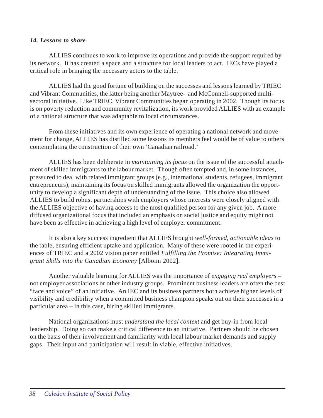#### *14. Lessons to share*

ALLIES continues to work to improve its operations and provide the support required by its network. It has created a space and a structure for local leaders to act. IECs have played a critical role in bringing the necessary actors to the table.

ALLIES had the good fortune of building on the successes and lessons learned by TRIEC and Vibrant Communities, the latter being another Maytree- and McConnell-supported multisectoral initiative. Like TRIEC, Vibrant Communities began operating in 2002. Though its focus is on poverty reduction and community revitalization, its work provided ALLIES with an example of a national structure that was adaptable to local circumstances.

From these initiatives and its own experience of operating a national network and movement for change, ALLIES has distilled some lessons its members feel would be of value to others contemplating the construction of their own 'Canadian railroad.'

ALLIES has been deliberate in *maintaining its focus* on the issue of the successful attachment of skilled immigrants to the labour market. Though often tempted and, in some instances, pressured to deal with related immigrant groups (e.g., international students, refugees, immigrant entrepreneurs), maintaining its focus on skilled immigrants allowed the organization the opportunity to develop a significant depth of understanding of the issue. This choice also allowed ALLIES to build robust partnerships with employers whose interests were closely aligned with the ALLIES objective of having access to the most qualified person for any given job. A more diffused organizational focus that included an emphasis on social justice and equity might not have been as effective in achieving a high level of employer commitment.

It is also a key success ingredient that ALLIES brought *well-formed, actionable ideas* to the table, ensuring efficient uptake and application. Many of these were rooted in the experiences of TRIEC and a 2002 vision paper entitled *Fulfilling the Promise: Integrating Immigrant Skills into the Canadian Economy* [Alboim 2002].

Another valuable learning for ALLIES was the importance of *engaging real employers* – not employer associations or other industry groups. Prominent business leaders are often the best "face and voice" of an initiative. An IEC and its business partners both achieve higher levels of visibility and credibility when a committed business champion speaks out on their successes in a particular area – in this case, hiring skilled immigrants.

National organizations must *understand the local context* and get buy-in from local leadership. Doing so can make a critical difference to an initiative. Partners should be chosen on the basis of their involvement and familiarity with local labour market demands and supply gaps. Their input and participation will result in viable, effective initiatives.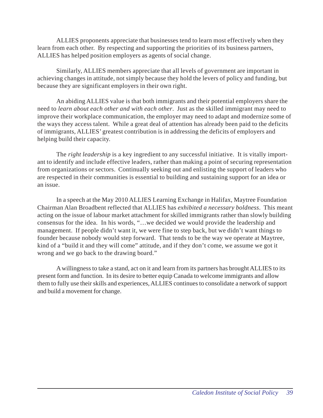ALLIES proponents appreciate that businesses tend to learn most effectively when they learn from each other. By respecting and supporting the priorities of its business partners, ALLIES has helped position employers as agents of social change.

Similarly, ALLIES members appreciate that all levels of government are important in achieving changes in attitude, not simply because they hold the levers of policy and funding, but because they are significant employers in their own right.

An abiding ALLIES value is that both immigrants and their potential employers share the need to *learn about each other and with each other*. Just as the skilled immigrant may need to improve their workplace communication, the employer may need to adapt and modernize some of the ways they access talent. While a great deal of attention has already been paid to the deficits of immigrants, ALLIES' greatest contribution is in addressing the deficits of employers and helping build their capacity.

The *right leadership* is a key ingredient to any successful initiative. It is vitally important to identify and include effective leaders, rather than making a point of securing representation from organizations or sectors. Continually seeking out and enlisting the support of leaders who are respected in their communities is essential to building and sustaining support for an idea or an issue.

In a speech at the May 2010 ALLIES Learning Exchange in Halifax, Maytree Foundation Chairman Alan Broadbent reflected that ALLIES has *exhibited a necessary boldness*. This meant acting on the issue of labour market attachment for skilled immigrants rather than slowly building consensus for the idea. In his words, "…we decided we would provide the leadership and management. If people didn't want it, we were fine to step back, but we didn't want things to founder because nobody would step forward. That tends to be the way we operate at Maytree, kind of a "build it and they will come" attitude, and if they don't come, we assume we got it wrong and we go back to the drawing board."

A willingness to take a stand, act on it and learn from its partners has brought ALLIES to its present form and function. In its desire to better equip Canada to welcome immigrants and allow them to fully use their skills and experiences, ALLIES continues to consolidate a network of support and build a movement for change.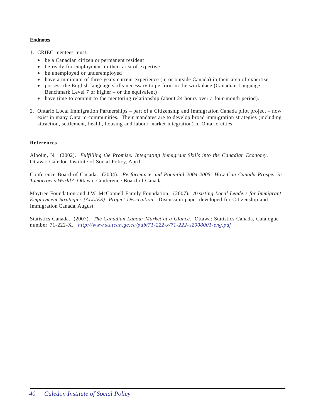#### **Endnotes**

- 1. CRIEC mentees must:
	- be a Canadian citizen or permanent resident
	- be ready for employment in their area of expertise
	- be unemployed or underemployed
	- have a minimum of three years current experience (in or outside Canada) in their area of expertise
	- possess the English language skills necessary to perform in the workplace (Canadian Language Benchmark Level 7 or higher – or the equivalent)
	- have time to commit to the mentoring relationship (about 24 hours over a four-month period).
- 2. Ontario Local Immigration Partnerships part of a Citizenship and Immigration Canada pilot project now exist in many Ontario communities. Their mandates are to develop broad immigration strategies (including attraction, settlement, health, housing and labour market integration) in Ontario cities.

#### **References**

Alboim, N. (2002). *Fulfilling the Promise: Integrating Immigrant Skills into the Canadian Economy*. Ottawa: Caledon Institute of Social Policy, April.

Conference Board of Canada. (2004). *Performance and Potential 2004-2005: How Can Canada Prosper in Tomorrow's World?* Ottawa, Conference Board of Canada.

Maytree Foundation and J.W. McConnell Family Foundation. (2007). *Assisting Local Leaders for Immigrant Employment Strategies (ALLIES): Project Description*. Discussion paper developed for Citizenship and Immigration Canada, August.

Statistics Canada. (2007). *The Canadian Labour Market at a Glance*. Ottawa: Statistics Canada, Catalogue number 71-222-X. *http://www.statcan.gc.ca/pub/71-222-x/71-222-x2008001-eng.pdf*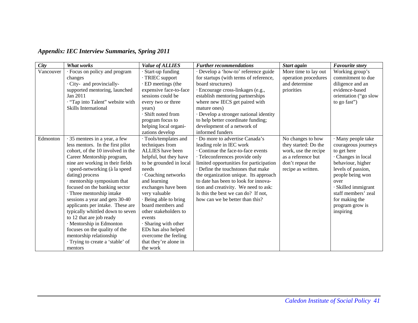| <b>Appendix: IEC Interview Summaries, Spring 2011</b> |  |  |  |
|-------------------------------------------------------|--|--|--|
|-------------------------------------------------------|--|--|--|

| City      | <b>What works</b>                 | <b>Value of ALLIES</b>  | <b>Further recommendations</b>          | Start again          | <b>Favourite story</b> |
|-----------|-----------------------------------|-------------------------|-----------------------------------------|----------------------|------------------------|
| Vancouver | · Focus on policy and program     | Start-up funding        | Develop a 'how-to' reference guide      | More time to lay out | Working group's        |
|           | changes                           | · TRIEC support         | for startups (with terms of reference,  | operation procedures | commitment to due      |
|           | · City- and provincially-         | · ED meetings (the      | board structures)                       | and determine        | diligence and an       |
|           | supported mentoring, launched     | expensive face-to-face  | · Encourage cross-linkages (e.g.,       | priorities           | evidence-based         |
|           | Jan 2011                          | sessions could be       | establish mentoring partnerships        |                      | orientation ("go slow  |
|           | . "Tap into Talent" website with  | every two or three      | where new IECS get paired with          |                      | to go fast")           |
|           | Skills International              | years)                  | mature ones)                            |                      |                        |
|           |                                   | Shift noted from        | · Develop a stronger national identity  |                      |                        |
|           |                                   | program focus to        | to help better coordinate funding;      |                      |                        |
|           |                                   | helping local organi-   | development of a network of             |                      |                        |
|           |                                   | zations develop         | informed funders                        |                      |                        |
| Edmonton  | 35 mentees in a year, a few       | · Tools/templates and   | · Do more to advertise Canada's         | No changes to how    | · Many people take     |
|           | less mentors. In the first pilot  | techniques from         | leading role in IEC work                | they started: Do the | courageous journeys    |
|           | cohort, of the 10 involved in the | ALLIES have been        | Continue the face-to-face events        | work, use the recipe | to get here            |
|           | Career Mentorship program,        | helpful, but they have  | · Teleconferences provide only          | as a reference but   | · Changes in local     |
|           | nine are working in their fields  | to be grounded in local | limited opportunities for participation | don't repeat the     | behaviour, higher      |
|           | · speed-networking (à la speed    | needs                   | Define the touchstones that make        | recipe as written.   | levels of passion,     |
|           | dating) process                   | · Coaching networks     | the organization unique. Its approach   |                      | people being won       |
|           | · mentorship symposium that       | and learning            | to date has been to look for innova-    |                      | over                   |
|           | focused on the banking sector     | exchanges have been     | tion and creativity. We need to ask:    |                      | · Skilled immigrant    |
|           | · Three mentorship intake         | very valuable           | Is this the best we can do? If not,     |                      | staff members' zeal    |
|           | sessions a year and gets 30-40    | · Being able to bring   | how can we be better than this?         |                      | for making the         |
|           | applicants per intake. These are  | board members and       |                                         |                      | program grow is        |
|           | typically whittled down to seven  | other stakeholders to   |                                         |                      | inspiring              |
|           | to 12 that are job ready          | events                  |                                         |                      |                        |
|           | · Mentorship in Edmonton          | Sharing with other      |                                         |                      |                        |
|           | focuses on the quality of the     | EDs has also helped     |                                         |                      |                        |
|           | mentorship relationship           | overcome the feeling    |                                         |                      |                        |
|           | · Trying to create a 'stable' of  | that they're alone in   |                                         |                      |                        |
|           | mentors                           | the work                |                                         |                      |                        |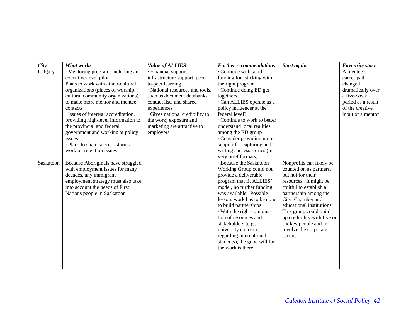| City      | <b>What works</b>                    | <b>Value of ALLIES</b>          | <b>Further recommendations</b> | Start again                 | <b>Favourite story</b> |
|-----------|--------------------------------------|---------------------------------|--------------------------------|-----------------------------|------------------------|
| Calgary   | · Mentoring program, including an    | · Financial support,            | Continue with solid            |                             | A mentee's             |
|           | executive-level pilot                | infrastructure support, peer-   | funding for 'sticking with     |                             | career path            |
|           | Plans to work with ethno-cultural    | to-peer learning                | the right program              |                             | changed                |
|           | organizations (places of worship,    | · National resources and tools, | · Continue doing ED get        |                             | dramatically over      |
|           | cultural community organizations)    | such as document databanks,     | togethers                      |                             | a five-week            |
|           | to make more mentor and mentee       | contact lists and shared        | · Can ALLIES operate as a      |                             | period as a result     |
|           | contacts                             | experiences                     | policy influencer at the       |                             | of the creative        |
|           | · Issues of interest: accreditation, | · Gives national credibility to | federal level?                 |                             | input of a mentor      |
|           | providing high-level information to  | the work; exposure and          | Continue to work to better     |                             |                        |
|           | the provincial and federal           | marketing are attractive to     | understand local realities     |                             |                        |
|           | government and working at policy     | employers                       | among the ED group             |                             |                        |
|           | issues                               |                                 | Consider providing more        |                             |                        |
|           | · Plans to share success stories,    |                                 | support for capturing and      |                             |                        |
|           | work on retention issues             |                                 | writing success stories (in    |                             |                        |
|           |                                      |                                 | very brief formats)            |                             |                        |
| Saskatoon | Because Aboriginals have struggled   |                                 | · Because the Saskatoon        | Nonprofits can likely be    |                        |
|           | with employment issues for many      |                                 | Working Group could not        | counted on as partners,     |                        |
|           | decades, any immigrant               |                                 | provide a deliverable          | but not for their           |                        |
|           | employment strategy must also take   |                                 | program that fit ALLIES'       | resources. It might be      |                        |
|           | into account the needs of First      |                                 | model, no further funding      | fruitful to establish a     |                        |
|           | Nations people in Saskatoon          |                                 | was available. Possible        | partnership among the       |                        |
|           |                                      |                                 | lesson: work has to be done    | City, Chamber and           |                        |
|           |                                      |                                 | to build partnerships          | educational institutions.   |                        |
|           |                                      |                                 | With the right combina-        | This group could build      |                        |
|           |                                      |                                 | tion of resources and          | up credibility with five or |                        |
|           |                                      |                                 | stakeholders (e.g.,            | six key people and re-      |                        |
|           |                                      |                                 | university concern             | involve the corporate       |                        |
|           |                                      |                                 | regarding international        | sector.                     |                        |
|           |                                      |                                 | students), the good will for   |                             |                        |
|           |                                      |                                 | the work is there.             |                             |                        |
|           |                                      |                                 |                                |                             |                        |
|           |                                      |                                 |                                |                             |                        |
|           |                                      |                                 |                                |                             |                        |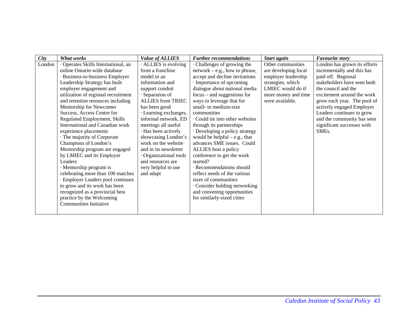| <b>City</b> | What works                                                                                                                                                                                                                                                                                                                                                                                                                                                                                                                                                                                                                                                                                                                                                                   | <b>Value of ALLIES</b>                                                                                                                                                                                                                                                                                                                                                                                             | <b>Further recommendations</b>                                                                                                                                                                                                                                                                                                                                                                                                                                                                                                                                                                                                                                                   | Start again                                                                                                                                          | <b>Favourite story</b>                                                                                                                                                                                                                                                                                                                          |
|-------------|------------------------------------------------------------------------------------------------------------------------------------------------------------------------------------------------------------------------------------------------------------------------------------------------------------------------------------------------------------------------------------------------------------------------------------------------------------------------------------------------------------------------------------------------------------------------------------------------------------------------------------------------------------------------------------------------------------------------------------------------------------------------------|--------------------------------------------------------------------------------------------------------------------------------------------------------------------------------------------------------------------------------------------------------------------------------------------------------------------------------------------------------------------------------------------------------------------|----------------------------------------------------------------------------------------------------------------------------------------------------------------------------------------------------------------------------------------------------------------------------------------------------------------------------------------------------------------------------------------------------------------------------------------------------------------------------------------------------------------------------------------------------------------------------------------------------------------------------------------------------------------------------------|------------------------------------------------------------------------------------------------------------------------------------------------------|-------------------------------------------------------------------------------------------------------------------------------------------------------------------------------------------------------------------------------------------------------------------------------------------------------------------------------------------------|
| London      | · Operates Skills International, an<br>online Ontario-wide database<br>· Business-to-business Employer<br>Leadership Strategy has built<br>employer engagement and<br>utilization of regional recruitment<br>and retention resources including<br>Mentorship for Newcomer<br>Success, Access Centre for<br>Regulated Employment, Skills<br>International and Canadian work<br>experience placements<br>· The majority of Corporate<br>Champions of London's<br>Mentorship program are engaged<br>by LMIEC and its Employer<br>Leaders<br>· Mentorship program is<br>celebrating more than 100 matches<br>· Employer Leaders pool continues<br>to grow and its work has been<br>recognized as a provincial best<br>practice by the Welcoming<br><b>Communities Initiative</b> | ALLIES is evolving<br>from a franchise<br>model to an<br>information and<br>support conduit<br>· Separation of<br><b>ALLIES from TRIEC</b><br>has been good<br>· Learning exchanges,<br>informal network, ED<br>meetings all useful<br>· Has been actively<br>showcasing London's<br>work on the website<br>and in its newsletter<br>Organizational tools<br>and resources are<br>very helpful to use<br>and adapt | Challenges of growing the<br>$network - e.g., how to phrase,$<br>accept and decline invitations<br>Importance of upcoming<br>dialogue about national media<br>$focus - and suggestions for$<br>ways to leverage that for<br>small- to medium-size<br>communities<br>Could tie into other websites<br>through its partnerships<br>· Developing a policy strategy<br>would be helpful $-$ e.g., that<br>advances SME issues. Could<br>ALLIES host a policy<br>conference to get the work<br>started?<br>Recommendations should<br>reflect needs of the various<br>sizes of communities<br>Consider holding networking<br>and convening opportunities<br>for similarly-sized cities | Other communities<br>are developing local<br>employer leadership<br>strategies, which<br>LMIEC would do if<br>more money and time<br>were available. | London has grown its efforts<br>incrementally and this has<br>paid off. Regional<br>stakeholders have seen both<br>the council and the<br>excitement around the work<br>grow each year. The pool of<br>actively engaged Employer<br>Leaders continues to grow<br>and the community has seen<br>significant successes with<br>SME <sub>s</sub> . |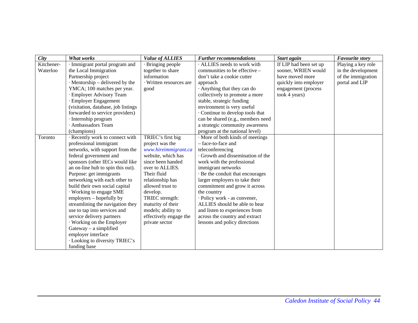| <b>City</b> | <b>What works</b>                     | <b>Value of ALLIES</b>  | <b>Further recommendations</b>    | Start again            | <b>Favourite story</b> |
|-------------|---------------------------------------|-------------------------|-----------------------------------|------------------------|------------------------|
| Kitchener-  | · Immigrant portal program and        | · Bringing people       | ALLIES needs to work with         | If LIP had been set up | Playing a key role     |
| Waterloo    | the Local Immigration                 | together to share       | communities to be effective -     | sooner, WRIEN would    | in the development     |
|             | Partnership project                   | information             | don't take a cookie cutter        | have moved more        | of the immigration     |
|             | $\cdot$ Mentorship – delivered by the | · Written resources are | approach                          | quickly into employer  | portal and LIP         |
|             | YMCA; 100 matches per year.           | good                    | Anything that they can do         | engagement (process    |                        |
|             | · Employer Advisory Team              |                         | collectively to promote a more    | took 4 years)          |                        |
|             | · Employer Engagement                 |                         | stable, strategic funding         |                        |                        |
|             | (visitation, database, job listings)  |                         | environment is very useful        |                        |                        |
|             | forwarded to service providers)       |                         | Continue to develop tools that    |                        |                        |
|             | · Internship program                  |                         | can be shared (e.g., members need |                        |                        |
|             | · Ambassadors Team                    |                         | a strategic community awareness   |                        |                        |
|             | (champions)                           |                         | program at the national level)    |                        |                        |
| Toronto     | · Recently work to connect with       | TRIEC's first big       | · More of both kinds of meetings  |                        |                        |
|             | professional immigrant                | project was the         | - face-to-face and                |                        |                        |
|             | networks, with support from the       | www.hireimmigrant.ca    | teleconferencing                  |                        |                        |
|             | federal government and                | website, which has      | · Growth and dissemination of the |                        |                        |
|             | sponsors (other IECs would like       | since been handed       | work with the professional        |                        |                        |
|             | an on-line hub to spin this out).     | over to ALLIES.         | immigrant networks                |                        |                        |
|             | Purpose: get immigrants               | Their fluid             | · Be the conduit that encourages  |                        |                        |
|             | networking with each other to         | relationship has        | larger employers to take their    |                        |                        |
|             | build their own social capital        | allowed trust to        | commitment and grow it across     |                        |                        |
|             | · Working to engage SME               | develop.                | the country                       |                        |                        |
|             | employers – hopefully by              | TRIEC strength:         | · Policy work - as convener,      |                        |                        |
|             | streamlining the navigation they      | maturity of their       | ALLIES should be able to hear     |                        |                        |
|             | use to tap into services and          | models; ability to      | and listen to experiences from    |                        |                        |
|             | service delivery partners             | effectively engage the  | across the country and extract    |                        |                        |
|             | Working on the Employer               | private sector          | lessons and policy directions     |                        |                        |
|             | Gateway - a simplified                |                         |                                   |                        |                        |
|             | employer interface                    |                         |                                   |                        |                        |
|             | · Looking to diversity TRIEC's        |                         |                                   |                        |                        |
|             | funding base                          |                         |                                   |                        |                        |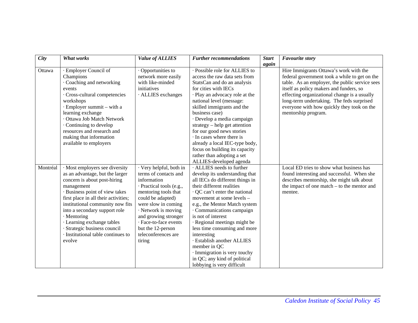| City     | <b>What works</b>                    | <b>Value of ALLIES</b>   | <b>Further recommendations</b>  | <b>Start</b> | <b>Favourite story</b>                         |
|----------|--------------------------------------|--------------------------|---------------------------------|--------------|------------------------------------------------|
|          |                                      |                          |                                 | again        |                                                |
| Ottawa   | · Employer Council of                | Opportunities to         | · Possible role for ALLIES to   |              | Hire Immigrants Ottawa's work with the         |
|          | Champions                            | network more easily      | access the raw data sets from   |              | federal government took a while to get on the  |
|          | · Coaching and networking            | with like-minded         | StatsCan and do an analysis     |              | table. As an employer, the public service sees |
|          | events                               | initiatives              | for cities with IECs            |              | itself as policy makers and funders, so        |
|          | · Cross-cultural competencies        | · ALLIES exchanges       | · Play an advocacy role at the  |              | effecting organizational change is a usually   |
|          | workshops                            |                          | national level (message:        |              | long-term undertaking. The feds surprised      |
|          | · Employer summit – with a           |                          | skilled immigrants and the      |              | everyone with how quickly they took on the     |
|          | learning exchange                    |                          | business case)                  |              | mentorship program.                            |
|          | · Ottawa Job Match Network           |                          | · Develop a media campaign      |              |                                                |
|          | Continuing to develop                |                          | $strategy - help get attention$ |              |                                                |
|          | resources and research and           |                          | for our good news stories       |              |                                                |
|          | making that information              |                          | In cases where there is         |              |                                                |
|          | available to employers               |                          | already a local IEC-type body,  |              |                                                |
|          |                                      |                          | focus on building its capacity  |              |                                                |
|          |                                      |                          | rather than adopting a set      |              |                                                |
|          |                                      |                          | ALLIES-developed agenda         |              |                                                |
| Montréal | · Most employers see diversity       | · Very helpful, both in  | · ALLIES needs to further       |              | Local ED tries to show what business has       |
|          | as an advantage, but the larger      | terms of contacts and    | develop its understanding that  |              | found interesting and successful. When she     |
|          | concern is about post-hiring         | information              | all IECs do different things in |              | describes mentorship, she might talk about     |
|          | management                           | · Practical tools (e.g., | their different realities       |              | the impact of one match - to the mentor and    |
|          | · Business point of view takes       | mentoring tools that     | · QC can't enter the national   |              | mentee.                                        |
|          | first place in all their activities; | could be adapted)        | movement at some levels -       |              |                                                |
|          | institutional community now fits     | were slow in coming      | e.g., the Mentor Match system   |              |                                                |
|          | into a secondary support role        | · Network is moving      | · Communications campaign       |              |                                                |
|          | · Mentoring                          | and growing stronger     | is not of interest              |              |                                                |
|          | · Learning exchange tables           | · Face-to-face events    | · Regional meetings might be    |              |                                                |
|          | Strategic business council           | but the 12-person        | less time consuming and more    |              |                                                |
|          | · Institutional table continues to   | teleconferences are      | interesting                     |              |                                                |
|          | evolve                               | tiring                   | · Establish another ALLIES      |              |                                                |
|          |                                      |                          | member in QC                    |              |                                                |
|          |                                      |                          | · Immigration is very touchy    |              |                                                |
|          |                                      |                          | in QC; any kind of political    |              |                                                |
|          |                                      |                          | lobbying is very difficult      |              |                                                |